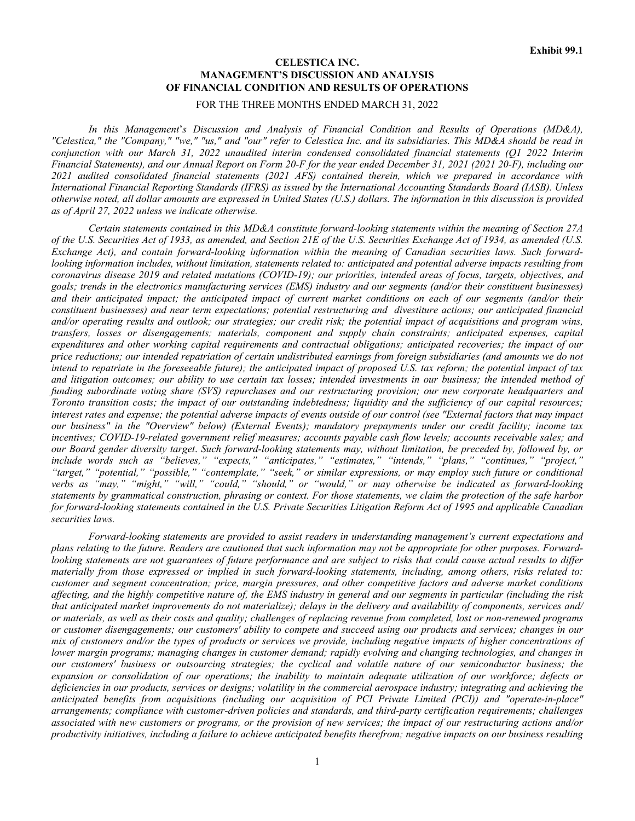# **CELESTICA INC. MANAGEMENT'S DISCUSSION AND ANALYSIS OF FINANCIAL CONDITION AND RESULTS OF OPERATIONS**

## FOR THE THREE MONTHS ENDED MARCH 31, 2022

*In this Management*'*s Discussion and Analysis of Financial Condition and Results of Operations (MD&A), "Celestica," the "Company," "we," "us," and "our" refer to Celestica Inc. and its subsidiaries. This MD&A should be read in conjunction with our March 31, 2022 unaudited interim condensed consolidated financial statements (Q1 2022 Interim Financial Statements), and our Annual Report on Form 20-F for the year ended December 31, 2021 (2021 20-F), including our 2021 audited consolidated financial statements (2021 AFS) contained therein, which we prepared in accordance with International Financial Reporting Standards (IFRS) as issued by the International Accounting Standards Board (IASB). Unless otherwise noted, all dollar amounts are expressed in United States (U.S.) dollars. The information in this discussion is provided as of April 27, 2022 unless we indicate otherwise.*

*Certain statements contained in this MD&A constitute forward-looking statements within the meaning of Section 27A of the U.S. Securities Act of 1933, as amended, and Section 21E of the U.S. Securities Exchange Act of 1934, as amended (U.S. Exchange Act), and contain forward-looking information within the meaning of Canadian securities laws. Such forwardlooking information includes, without limitation, statements related to: anticipated and potential adverse impacts resulting from coronavirus disease 2019 and related mutations (COVID-19); our priorities, intended areas of focus, targets, objectives, and goals; trends in the electronics manufacturing services (EMS) industry and our segments (and/or their constituent businesses) and their anticipated impact; the anticipated impact of current market conditions on each of our segments (and/or their constituent businesses) and near term expectations; potential restructuring and divestiture actions; our anticipated financial and/or operating results and outlook; our strategies; our credit risk; the potential impact of acquisitions and program wins, transfers, losses or disengagements; materials, component and supply chain constraints; anticipated expenses, capital expenditures and other working capital requirements and contractual obligations; anticipated recoveries; the impact of our price reductions; our intended repatriation of certain undistributed earnings from foreign subsidiaries (and amounts we do not intend to repatriate in the foreseeable future); the anticipated impact of proposed U.S. tax reform; the potential impact of tax and litigation outcomes; our ability to use certain tax losses; intended investments in our business; the intended method of funding subordinate voting share (SVS) repurchases and our restructuring provision; our new corporate headquarters and Toronto transition costs; the impact of our outstanding indebtedness; liquidity and the sufficiency of our capital resources; interest rates and expense; the potential adverse impacts of events outside of our control (see "External factors that may impact our business" in the "Overview" below) (External Events); mandatory prepayments under our credit facility; income tax incentives; COVID-19-related government relief measures; accounts payable cash flow levels; accounts receivable sales; and our Board gender diversity target*. *Such forward-looking statements may, without limitation, be preceded by, followed by, or include words such as "believes," "expects," "anticipates," "estimates," "intends," "plans," "continues," "project," "target," "potential," "possible," "contemplate," "seek," or similar expressions, or may employ such future or conditional verbs as "may," "might," "will," "could," "should," or "would," or may otherwise be indicated as forward-looking statements by grammatical construction, phrasing or context. For those statements, we claim the protection of the safe harbor for forward-looking statements contained in the U.S. Private Securities Litigation Reform Act of 1995 and applicable Canadian securities laws.*

*Forward-looking statements are provided to assist readers in understanding management's current expectations and plans relating to the future. Readers are cautioned that such information may not be appropriate for other purposes. Forwardlooking statements are not guarantees of future performance and are subject to risks that could cause actual results to differ materially from those expressed or implied in such forward-looking statements, including, among others, risks related to: customer and segment concentration; price, margin pressures, and other competitive factors and adverse market conditions affecting, and the highly competitive nature of, the EMS industry in general and our segments in particular (including the risk that anticipated market improvements do not materialize); delays in the delivery and availability of components, services and/ or materials, as well as their costs and quality; challenges of replacing revenue from completed, lost or non-renewed programs or customer disengagements; our customers' ability to compete and succeed using our products and services; changes in our mix of customers and/or the types of products or services we provide, including negative impacts of higher concentrations of lower margin programs; managing changes in customer demand; rapidly evolving and changing technologies, and changes in our customers' business or outsourcing strategies; the cyclical and volatile nature of our semiconductor business; the expansion or consolidation of our operations; the inability to maintain adequate utilization of our workforce; defects or deficiencies in our products, services or designs; volatility in the commercial aerospace industry; integrating and achieving the anticipated benefits from acquisitions (including our acquisition of PCI Private Limited (PCI)) and "operate-in-place" arrangements; compliance with customer-driven policies and standards, and third-party certification requirements; challenges associated with new customers or programs, or the provision of new services; the impact of our restructuring actions and/or productivity initiatives, including a failure to achieve anticipated benefits therefrom; negative impacts on our business resulting*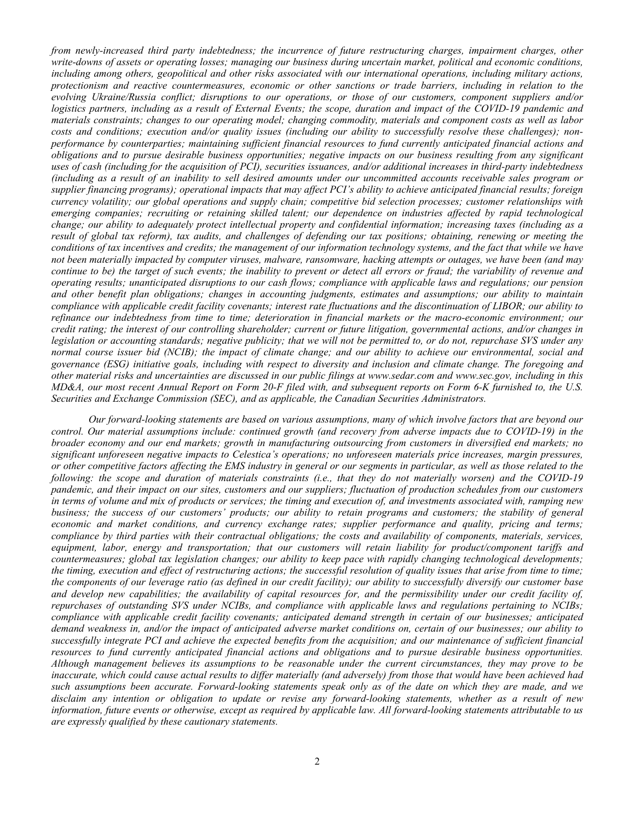*from newly-increased third party indebtedness; the incurrence of future restructuring charges, impairment charges, other write-downs of assets or operating losses; managing our business during uncertain market, political and economic conditions, including among others, geopolitical and other risks associated with our international operations, including military actions, protectionism and reactive countermeasures, economic or other sanctions or trade barriers, including in relation to the evolving Ukraine/Russia conflict; disruptions to our operations, or those of our customers, component suppliers and/or logistics partners, including as a result of External Events; the scope, duration and impact of the COVID-19 pandemic and materials constraints; changes to our operating model; changing commodity, materials and component costs as well as labor costs and conditions; execution and/or quality issues (including our ability to successfully resolve these challenges); nonperformance by counterparties; maintaining sufficient financial resources to fund currently anticipated financial actions and obligations and to pursue desirable business opportunities; negative impacts on our business resulting from any significant uses of cash (including for the acquisition of PCI), securities issuances, and/or additional increases in third-party indebtedness (including as a result of an inability to sell desired amounts under our uncommitted accounts receivable sales program or supplier financing programs); operational impacts that may affect PCI's ability to achieve anticipated financial results; foreign currency volatility; our global operations and supply chain; competitive bid selection processes; customer relationships with emerging companies; recruiting or retaining skilled talent; our dependence on industries affected by rapid technological change; our ability to adequately protect intellectual property and confidential information; increasing taxes (including as a result of global tax reform), tax audits, and challenges of defending our tax positions; obtaining, renewing or meeting the conditions of tax incentives and credits; the management of our information technology systems, and the fact that while we have not been materially impacted by computer viruses, malware, ransomware, hacking attempts or outages, we have been (and may continue to be) the target of such events; the inability to prevent or detect all errors or fraud; the variability of revenue and operating results; unanticipated disruptions to our cash flows; compliance with applicable laws and regulations; our pension and other benefit plan obligations; changes in accounting judgments, estimates and assumptions; our ability to maintain compliance with applicable credit facility covenants; interest rate fluctuations and the discontinuation of LIBOR; our ability to refinance our indebtedness from time to time; deterioration in financial markets or the macro-economic environment; our credit rating; the interest of our controlling shareholder; current or future litigation, governmental actions, and/or changes in legislation or accounting standards; negative publicity; that we will not be permitted to, or do not, repurchase SVS under any normal course issuer bid (NCIB); the impact of climate change; and our ability to achieve our environmental, social and governance (ESG) initiative goals, including with respect to diversity and inclusion and climate change. The foregoing and other material risks and uncertainties are discussed in our public filings at www.sedar.com and www.sec.gov, including in this MD&A, our most recent Annual Report on Form 20-F filed with, and subsequent reports on Form 6-K furnished to, the U.S. Securities and Exchange Commission (SEC), and as applicable, the Canadian Securities Administrators.*

*Our forward-looking statements are based on various assumptions, many of which involve factors that are beyond our control. Our material assumptions include: continued growth (and recovery from adverse impacts due to COVID-19) in the broader economy and our end markets; growth in manufacturing outsourcing from customers in diversified end markets; no significant unforeseen negative impacts to Celestica's operations; no unforeseen materials price increases, margin pressures, or other competitive factors affecting the EMS industry in general or our segments in particular, as well as those related to the following: the scope and duration of materials constraints (i.e., that they do not materially worsen) and the COVID-19 pandemic, and their impact on our sites, customers and our suppliers; fluctuation of production schedules from our customers in terms of volume and mix of products or services; the timing and execution of, and investments associated with, ramping new business; the success of our customers' products; our ability to retain programs and customers; the stability of general economic and market conditions, and currency exchange rates; supplier performance and quality, pricing and terms; compliance by third parties with their contractual obligations; the costs and availability of components, materials, services, equipment, labor, energy and transportation; that our customers will retain liability for product/component tariffs and countermeasures; global tax legislation changes; our ability to keep pace with rapidly changing technological developments; the timing, execution and effect of restructuring actions; the successful resolution of quality issues that arise from time to time; the components of our leverage ratio (as defined in our credit facility); our ability to successfully diversify our customer base and develop new capabilities; the availability of capital resources for, and the permissibility under our credit facility of, repurchases of outstanding SVS under NCIBs, and compliance with applicable laws and regulations pertaining to NCIBs; compliance with applicable credit facility covenants; anticipated demand strength in certain of our businesses; anticipated demand weakness in, and/or the impact of anticipated adverse market conditions on, certain of our businesses; our ability to successfully integrate PCI and achieve the expected benefits from the acquisition; and our maintenance of sufficient financial resources to fund currently anticipated financial actions and obligations and to pursue desirable business opportunities. Although management believes its assumptions to be reasonable under the current circumstances, they may prove to be inaccurate, which could cause actual results to differ materially (and adversely) from those that would have been achieved had such assumptions been accurate. Forward-looking statements speak only as of the date on which they are made, and we disclaim any intention or obligation to update or revise any forward-looking statements, whether as a result of new information, future events or otherwise, except as required by applicable law. All forward-looking statements attributable to us are expressly qualified by these cautionary statements.*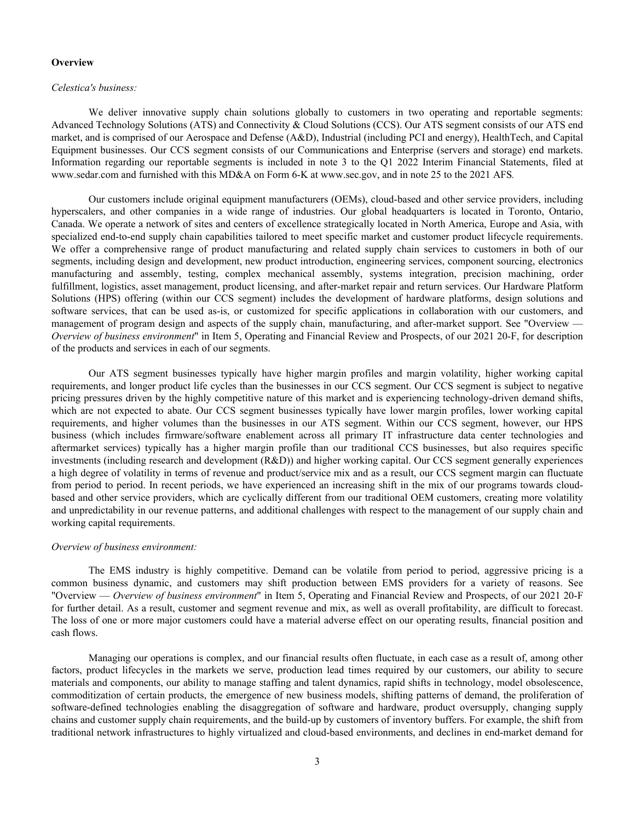#### **Overview**

### *Celestica's business:*

We deliver innovative supply chain solutions globally to customers in two operating and reportable segments: Advanced Technology Solutions (ATS) and Connectivity & Cloud Solutions (CCS). Our ATS segment consists of our ATS end market, and is comprised of our Aerospace and Defense (A&D), Industrial (including PCI and energy), HealthTech, and Capital Equipment businesses. Our CCS segment consists of our Communications and Enterprise (servers and storage) end markets. Information regarding our reportable segments is included in note 3 to the Q1 2022 Interim Financial Statements, filed at www.sedar.com and furnished with this MD&A on Form 6-K at www.sec.gov, and in note 25 to the 2021 AFS*.* 

Our customers include original equipment manufacturers (OEMs), cloud-based and other service providers, including hyperscalers, and other companies in a wide range of industries. Our global headquarters is located in Toronto, Ontario, Canada. We operate a network of sites and centers of excellence strategically located in North America, Europe and Asia, with specialized end-to-end supply chain capabilities tailored to meet specific market and customer product lifecycle requirements. We offer a comprehensive range of product manufacturing and related supply chain services to customers in both of our segments, including design and development, new product introduction, engineering services, component sourcing, electronics manufacturing and assembly, testing, complex mechanical assembly, systems integration, precision machining, order fulfillment, logistics, asset management, product licensing, and after-market repair and return services. Our Hardware Platform Solutions (HPS) offering (within our CCS segment) includes the development of hardware platforms, design solutions and software services, that can be used as-is, or customized for specific applications in collaboration with our customers, and management of program design and aspects of the supply chain, manufacturing, and after-market support. See "Overview — *Overview of business environment*" in Item 5, Operating and Financial Review and Prospects, of our 2021 20-F, for description of the products and services in each of our segments.

 Our ATS segment businesses typically have higher margin profiles and margin volatility, higher working capital requirements, and longer product life cycles than the businesses in our CCS segment. Our CCS segment is subject to negative pricing pressures driven by the highly competitive nature of this market and is experiencing technology-driven demand shifts, which are not expected to abate. Our CCS segment businesses typically have lower margin profiles, lower working capital requirements, and higher volumes than the businesses in our ATS segment. Within our CCS segment, however, our HPS business (which includes firmware/software enablement across all primary IT infrastructure data center technologies and aftermarket services) typically has a higher margin profile than our traditional CCS businesses, but also requires specific investments (including research and development (R&D)) and higher working capital. Our CCS segment generally experiences a high degree of volatility in terms of revenue and product/service mix and as a result, our CCS segment margin can fluctuate from period to period. In recent periods, we have experienced an increasing shift in the mix of our programs towards cloudbased and other service providers, which are cyclically different from our traditional OEM customers, creating more volatility and unpredictability in our revenue patterns, and additional challenges with respect to the management of our supply chain and working capital requirements.

#### *Overview of business environment:*

 The EMS industry is highly competitive. Demand can be volatile from period to period, aggressive pricing is a common business dynamic, and customers may shift production between EMS providers for a variety of reasons. See "Overview — *Overview of business environment*" in Item 5, Operating and Financial Review and Prospects, of our 2021 20-F for further detail. As a result, customer and segment revenue and mix, as well as overall profitability, are difficult to forecast. The loss of one or more major customers could have a material adverse effect on our operating results, financial position and cash flows.

 Managing our operations is complex, and our financial results often fluctuate, in each case as a result of, among other factors, product lifecycles in the markets we serve, production lead times required by our customers, our ability to secure materials and components, our ability to manage staffing and talent dynamics, rapid shifts in technology, model obsolescence, commoditization of certain products, the emergence of new business models, shifting patterns of demand, the proliferation of software-defined technologies enabling the disaggregation of software and hardware, product oversupply, changing supply chains and customer supply chain requirements, and the build-up by customers of inventory buffers. For example, the shift from traditional network infrastructures to highly virtualized and cloud-based environments, and declines in end-market demand for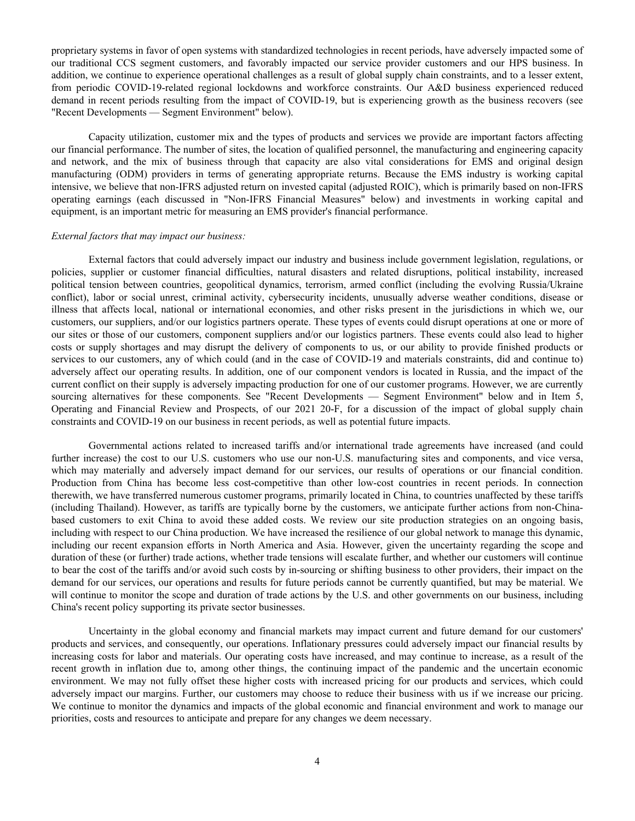proprietary systems in favor of open systems with standardized technologies in recent periods, have adversely impacted some of our traditional CCS segment customers, and favorably impacted our service provider customers and our HPS business. In addition, we continue to experience operational challenges as a result of global supply chain constraints, and to a lesser extent, from periodic COVID-19-related regional lockdowns and workforce constraints. Our A&D business experienced reduced demand in recent periods resulting from the impact of COVID-19, but is experiencing growth as the business recovers (see "Recent Developments — Segment Environment" below).

Capacity utilization, customer mix and the types of products and services we provide are important factors affecting our financial performance. The number of sites, the location of qualified personnel, the manufacturing and engineering capacity and network, and the mix of business through that capacity are also vital considerations for EMS and original design manufacturing (ODM) providers in terms of generating appropriate returns. Because the EMS industry is working capital intensive, we believe that non-IFRS adjusted return on invested capital (adjusted ROIC), which is primarily based on non-IFRS operating earnings (each discussed in "Non-IFRS Financial Measures" below) and investments in working capital and equipment, is an important metric for measuring an EMS provider's financial performance.

#### *External factors that may impact our business:*

External factors that could adversely impact our industry and business include government legislation, regulations, or policies, supplier or customer financial difficulties, natural disasters and related disruptions, political instability, increased political tension between countries, geopolitical dynamics, terrorism, armed conflict (including the evolving Russia/Ukraine conflict), labor or social unrest, criminal activity, cybersecurity incidents, unusually adverse weather conditions, disease or illness that affects local, national or international economies, and other risks present in the jurisdictions in which we, our customers, our suppliers, and/or our logistics partners operate. These types of events could disrupt operations at one or more of our sites or those of our customers, component suppliers and/or our logistics partners. These events could also lead to higher costs or supply shortages and may disrupt the delivery of components to us, or our ability to provide finished products or services to our customers, any of which could (and in the case of COVID-19 and materials constraints, did and continue to) adversely affect our operating results. In addition, one of our component vendors is located in Russia, and the impact of the current conflict on their supply is adversely impacting production for one of our customer programs. However, we are currently sourcing alternatives for these components. See "Recent Developments — Segment Environment" below and in Item 5, Operating and Financial Review and Prospects, of our 2021 20-F, for a discussion of the impact of global supply chain constraints and COVID-19 on our business in recent periods, as well as potential future impacts.

Governmental actions related to increased tariffs and/or international trade agreements have increased (and could further increase) the cost to our U.S. customers who use our non-U.S. manufacturing sites and components, and vice versa, which may materially and adversely impact demand for our services, our results of operations or our financial condition. Production from China has become less cost-competitive than other low-cost countries in recent periods. In connection therewith, we have transferred numerous customer programs, primarily located in China, to countries unaffected by these tariffs (including Thailand). However, as tariffs are typically borne by the customers, we anticipate further actions from non-Chinabased customers to exit China to avoid these added costs. We review our site production strategies on an ongoing basis, including with respect to our China production. We have increased the resilience of our global network to manage this dynamic, including our recent expansion efforts in North America and Asia. However, given the uncertainty regarding the scope and duration of these (or further) trade actions, whether trade tensions will escalate further, and whether our customers will continue to bear the cost of the tariffs and/or avoid such costs by in-sourcing or shifting business to other providers, their impact on the demand for our services, our operations and results for future periods cannot be currently quantified, but may be material. We will continue to monitor the scope and duration of trade actions by the U.S. and other governments on our business, including China's recent policy supporting its private sector businesses.

Uncertainty in the global economy and financial markets may impact current and future demand for our customers' products and services, and consequently, our operations. Inflationary pressures could adversely impact our financial results by increasing costs for labor and materials. Our operating costs have increased, and may continue to increase, as a result of the recent growth in inflation due to, among other things, the continuing impact of the pandemic and the uncertain economic environment. We may not fully offset these higher costs with increased pricing for our products and services, which could adversely impact our margins. Further, our customers may choose to reduce their business with us if we increase our pricing. We continue to monitor the dynamics and impacts of the global economic and financial environment and work to manage our priorities, costs and resources to anticipate and prepare for any changes we deem necessary.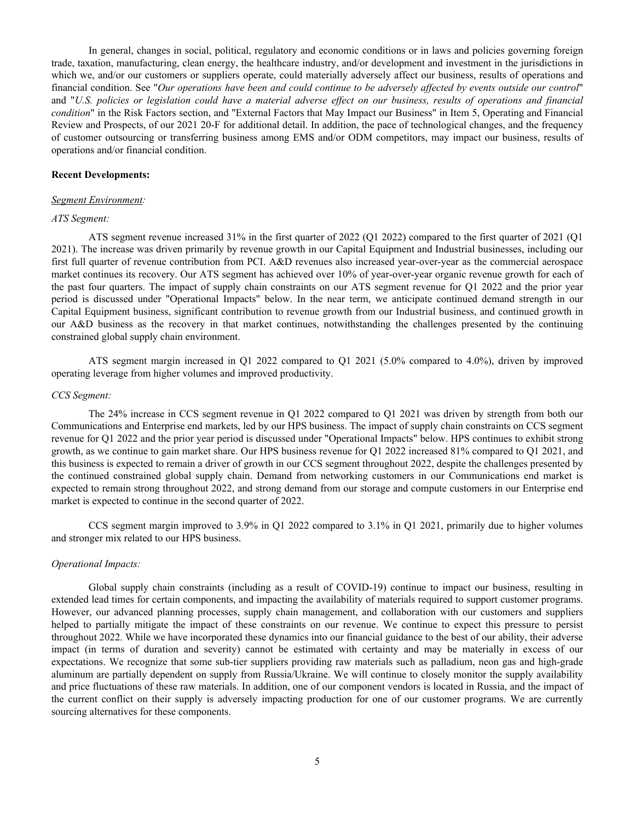In general, changes in social, political, regulatory and economic conditions or in laws and policies governing foreign trade, taxation, manufacturing, clean energy, the healthcare industry, and/or development and investment in the jurisdictions in which we, and/or our customers or suppliers operate, could materially adversely affect our business, results of operations and financial condition. See "*Our operations have been and could continue to be adversely affected by events outside our control*" and "*U.S. policies or legislation could have a material adverse effect on our business, results of operations and financial condition*" in the Risk Factors section, and "External Factors that May Impact our Business" in Item 5, Operating and Financial Review and Prospects, of our 2021 20-F for additional detail. In addition, the pace of technological changes, and the frequency of customer outsourcing or transferring business among EMS and/or ODM competitors, may impact our business, results of operations and/or financial condition.

### **Recent Developments:**

### *Segment Environment:*

### *ATS Segment:*

 ATS segment revenue increased 31% in the first quarter of 2022 (Q1 2022) compared to the first quarter of 2021 (Q1 2021). The increase was driven primarily by revenue growth in our Capital Equipment and Industrial businesses, including our first full quarter of revenue contribution from PCI. A&D revenues also increased year-over-year as the commercial aerospace market continues its recovery. Our ATS segment has achieved over 10% of year-over-year organic revenue growth for each of the past four quarters. The impact of supply chain constraints on our ATS segment revenue for Q1 2022 and the prior year period is discussed under "Operational Impacts" below. In the near term, we anticipate continued demand strength in our Capital Equipment business, significant contribution to revenue growth from our Industrial business, and continued growth in our A&D business as the recovery in that market continues, notwithstanding the challenges presented by the continuing constrained global supply chain environment.

ATS segment margin increased in Q1 2022 compared to Q1 2021 (5.0% compared to 4.0%), driven by improved operating leverage from higher volumes and improved productivity.

#### *CCS Segment:*

 The 24% increase in CCS segment revenue in Q1 2022 compared to Q1 2021 was driven by strength from both our Communications and Enterprise end markets, led by our HPS business. The impact of supply chain constraints on CCS segment revenue for Q1 2022 and the prior year period is discussed under "Operational Impacts" below. HPS continues to exhibit strong growth, as we continue to gain market share. Our HPS business revenue for Q1 2022 increased 81% compared to Q1 2021, and this business is expected to remain a driver of growth in our CCS segment throughout 2022, despite the challenges presented by the continued constrained global supply chain. Demand from networking customers in our Communications end market is expected to remain strong throughout 2022, and strong demand from our storage and compute customers in our Enterprise end market is expected to continue in the second quarter of 2022.

CCS segment margin improved to 3.9% in Q1 2022 compared to 3.1% in Q1 2021, primarily due to higher volumes and stronger mix related to our HPS business.

## *Operational Impacts:*

Global supply chain constraints (including as a result of COVID-19) continue to impact our business, resulting in extended lead times for certain components, and impacting the availability of materials required to support customer programs. However, our advanced planning processes, supply chain management, and collaboration with our customers and suppliers helped to partially mitigate the impact of these constraints on our revenue. We continue to expect this pressure to persist throughout 2022. While we have incorporated these dynamics into our financial guidance to the best of our ability, their adverse impact (in terms of duration and severity) cannot be estimated with certainty and may be materially in excess of our expectations. We recognize that some sub-tier suppliers providing raw materials such as palladium, neon gas and high-grade aluminum are partially dependent on supply from Russia/Ukraine. We will continue to closely monitor the supply availability and price fluctuations of these raw materials. In addition, one of our component vendors is located in Russia, and the impact of the current conflict on their supply is adversely impacting production for one of our customer programs. We are currently sourcing alternatives for these components.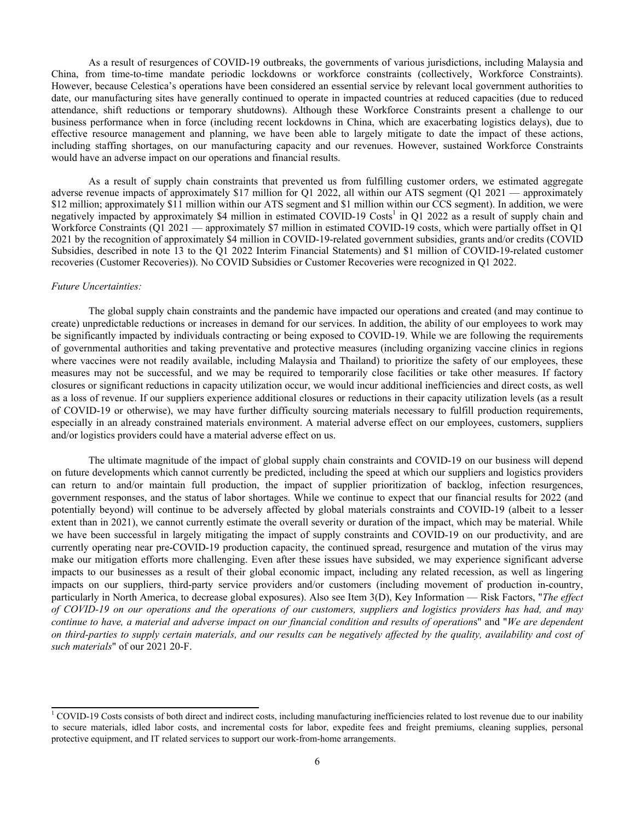As a result of resurgences of COVID-19 outbreaks, the governments of various jurisdictions, including Malaysia and China, from time-to-time mandate periodic lockdowns or workforce constraints (collectively, Workforce Constraints). However, because Celestica's operations have been considered an essential service by relevant local government authorities to date, our manufacturing sites have generally continued to operate in impacted countries at reduced capacities (due to reduced attendance, shift reductions or temporary shutdowns). Although these Workforce Constraints present a challenge to our business performance when in force (including recent lockdowns in China, which are exacerbating logistics delays), due to effective resource management and planning, we have been able to largely mitigate to date the impact of these actions, including staffing shortages, on our manufacturing capacity and our revenues. However, sustained Workforce Constraints would have an adverse impact on our operations and financial results.

As a result of supply chain constraints that prevented us from fulfilling customer orders, we estimated aggregate adverse revenue impacts of approximately \$17 million for Q1 2022, all within our ATS segment (Q1 2021 — approximately \$12 million; approximately \$11 million within our ATS segment and \$1 million within our CCS segment). In addition, we were negatively impacted by approximately \$4 million in estimated COVID-19 Costs<sup>1</sup> in Q1 2022 as a result of supply chain and Workforce Constraints (Q1 2021 — approximately \$7 million in estimated COVID-19 costs, which were partially offset in Q1 2021 by the recognition of approximately \$4 million in COVID-19-related government subsidies, grants and/or credits (COVID Subsidies, described in note 13 to the Q1 2022 Interim Financial Statements) and \$1 million of COVID-19-related customer recoveries (Customer Recoveries)). No COVID Subsidies or Customer Recoveries were recognized in Q1 2022.

### *Future Uncertainties:*

The global supply chain constraints and the pandemic have impacted our operations and created (and may continue to create) unpredictable reductions or increases in demand for our services. In addition, the ability of our employees to work may be significantly impacted by individuals contracting or being exposed to COVID-19. While we are following the requirements of governmental authorities and taking preventative and protective measures (including organizing vaccine clinics in regions where vaccines were not readily available, including Malaysia and Thailand) to prioritize the safety of our employees, these measures may not be successful, and we may be required to temporarily close facilities or take other measures. If factory closures or significant reductions in capacity utilization occur, we would incur additional inefficiencies and direct costs, as well as a loss of revenue. If our suppliers experience additional closures or reductions in their capacity utilization levels (as a result of COVID-19 or otherwise), we may have further difficulty sourcing materials necessary to fulfill production requirements, especially in an already constrained materials environment. A material adverse effect on our employees, customers, suppliers and/or logistics providers could have a material adverse effect on us.

The ultimate magnitude of the impact of global supply chain constraints and COVID-19 on our business will depend on future developments which cannot currently be predicted, including the speed at which our suppliers and logistics providers can return to and/or maintain full production, the impact of supplier prioritization of backlog, infection resurgences, government responses, and the status of labor shortages. While we continue to expect that our financial results for 2022 (and potentially beyond) will continue to be adversely affected by global materials constraints and COVID-19 (albeit to a lesser extent than in 2021), we cannot currently estimate the overall severity or duration of the impact, which may be material. While we have been successful in largely mitigating the impact of supply constraints and COVID-19 on our productivity, and are currently operating near pre-COVID-19 production capacity, the continued spread, resurgence and mutation of the virus may make our mitigation efforts more challenging. Even after these issues have subsided, we may experience significant adverse impacts to our businesses as a result of their global economic impact, including any related recession, as well as lingering impacts on our suppliers, third-party service providers and/or customers (including movement of production in-country, particularly in North America, to decrease global exposures). Also see Item 3(D), Key Information — Risk Factors, "*The effect of COVID-19 on our operations and the operations of our customers, suppliers and logistics providers has had, and may continue to have, a material and adverse impact on our financial condition and results of operation*s" and "*We are dependent on third-parties to supply certain materials, and our results can be negatively affected by the quality, availability and cost of such materials*" of our 2021 20-F.

<sup>&</sup>lt;sup>1</sup> COVID-19 Costs consists of both direct and indirect costs, including manufacturing inefficiencies related to lost revenue due to our inability to secure materials, idled labor costs, and incremental costs for labor, expedite fees and freight premiums, cleaning supplies, personal protective equipment, and IT related services to support our work-from-home arrangements.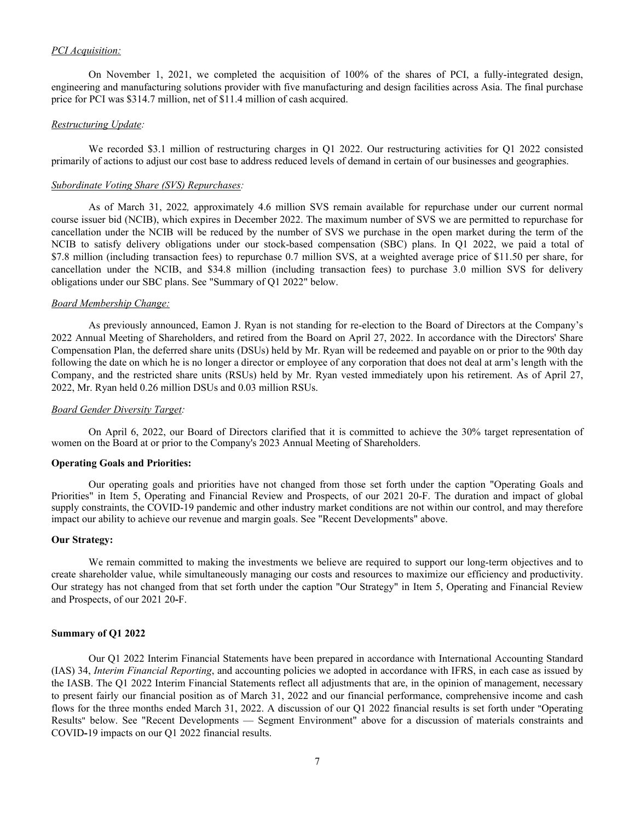## *PCI Acquisition:*

On November 1, 2021, we completed the acquisition of 100% of the shares of PCI, a fully-integrated design, engineering and manufacturing solutions provider with five manufacturing and design facilities across Asia. The final purchase price for PCI was \$314.7 million, net of \$11.4 million of cash acquired.

### *Restructuring Update:*

We recorded \$3.1 million of restructuring charges in Q1 2022. Our restructuring activities for Q1 2022 consisted primarily of actions to adjust our cost base to address reduced levels of demand in certain of our businesses and geographies.

### *Subordinate Voting Share (SVS) Repurchases:*

As of March 31, 2022*,* approximately 4.6 million SVS remain available for repurchase under our current normal course issuer bid (NCIB), which expires in December 2022. The maximum number of SVS we are permitted to repurchase for cancellation under the NCIB will be reduced by the number of SVS we purchase in the open market during the term of the NCIB to satisfy delivery obligations under our stock-based compensation (SBC) plans. In Q1 2022, we paid a total of \$7.8 million (including transaction fees) to repurchase 0.7 million SVS, at a weighted average price of \$11.50 per share, for cancellation under the NCIB, and \$34.8 million (including transaction fees) to purchase 3.0 million SVS for delivery obligations under our SBC plans. See "Summary of Q1 2022" below.

### *Board Membership Change:*

As previously announced, Eamon J. Ryan is not standing for re-election to the Board of Directors at the Company's 2022 Annual Meeting of Shareholders, and retired from the Board on April 27, 2022. In accordance with the Directors' Share Compensation Plan, the deferred share units (DSUs) held by Mr. Ryan will be redeemed and payable on or prior to the 90th day following the date on which he is no longer a director or employee of any corporation that does not deal at arm's length with the Company, and the restricted share units (RSUs) held by Mr. Ryan vested immediately upon his retirement. As of April 27, 2022, Mr. Ryan held 0.26 million DSUs and 0.03 million RSUs.

## *Board Gender Diversity Target:*

On April 6, 2022, our Board of Directors clarified that it is committed to achieve the 30% target representation of women on the Board at or prior to the Company's 2023 Annual Meeting of Shareholders.

## **Operating Goals and Priorities:**

Our operating goals and priorities have not changed from those set forth under the caption "Operating Goals and Priorities" in Item 5, Operating and Financial Review and Prospects, of our 2021 20-F. The duration and impact of global supply constraints, the COVID-19 pandemic and other industry market conditions are not within our control, and may therefore impact our ability to achieve our revenue and margin goals. See "Recent Developments" above.

### **Our Strategy:**

 We remain committed to making the investments we believe are required to support our long-term objectives and to create shareholder value, while simultaneously managing our costs and resources to maximize our efficiency and productivity. Our strategy has not changed from that set forth under the caption "Our Strategy" in Item 5, Operating and Financial Review and Prospects, of our 2021 20**-**F.

### **Summary of Q1 2022**

Our Q1 2022 Interim Financial Statements have been prepared in accordance with International Accounting Standard (IAS) 34, *Interim Financial Reporting*, and accounting policies we adopted in accordance with IFRS, in each case as issued by the IASB. The Q1 2022 Interim Financial Statements reflect all adjustments that are, in the opinion of management, necessary to present fairly our financial position as of March 31, 2022 and our financial performance, comprehensive income and cash flows for the three months ended March 31, 2022. A discussion of our Q1 2022 financial results is set forth under "Operating Results" below. See "Recent Developments — Segment Environment" above for a discussion of materials constraints and COVID**-**19 impacts on our Q1 2022 financial results.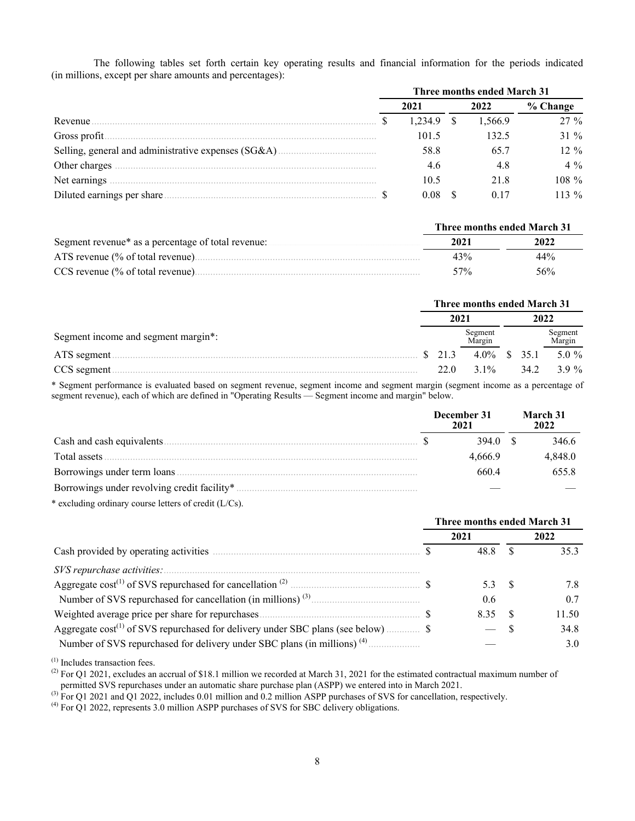The following tables set forth certain key operating results and financial information for the periods indicated (in millions, except per share amounts and percentages):

|               | Three months ended March 31 |         |  |         |          |  |  |  |  |  |
|---------------|-----------------------------|---------|--|---------|----------|--|--|--|--|--|
|               |                             | 2021    |  | 2022    | % Change |  |  |  |  |  |
| Revenue.      |                             | 1.234.9 |  | 1,566.9 | $27\%$   |  |  |  |  |  |
|               |                             | 101.5   |  | 132.5   | 31 %     |  |  |  |  |  |
|               |                             | 58.8    |  | 65.7    | $12\%$   |  |  |  |  |  |
|               |                             | 4.6     |  | 4.8     | $4\%$    |  |  |  |  |  |
| Net earnings. |                             | 10.5    |  | 21.8    | $108\%$  |  |  |  |  |  |
|               |                             | 0.08    |  | 0.17    | $113\%$  |  |  |  |  |  |

|                                                    | Three months ended March 31 |      |  |  |  |  |
|----------------------------------------------------|-----------------------------|------|--|--|--|--|
| Segment revenue* as a percentage of total revenue: | 2021                        | 2022 |  |  |  |  |
| ATS revenue $\frac{6}{6}$ of total revenue).       | 43%                         | 44%  |  |  |  |  |
| CCS revenue (% of total revenue).                  | $57\%$                      | 56%  |  |  |  |  |

|                                     |  | Three months ended March 31 |                     |  |      |                   |  |  |  |  |  |
|-------------------------------------|--|-----------------------------|---------------------|--|------|-------------------|--|--|--|--|--|
|                                     |  | 2021                        |                     |  | 2022 |                   |  |  |  |  |  |
| Segment income and segment margin*: |  |                             | Segment<br>Margin   |  |      | Segment<br>Margin |  |  |  |  |  |
| ATS segment.                        |  | $\frac{1}{21.3}$            | $4.0\% \quad $35.1$ |  |      | 5.0 $%$           |  |  |  |  |  |
| CCS segment.                        |  | 22 O                        | $3.1\%$             |  | 34.2 | $3.9\%$           |  |  |  |  |  |

\* Segment performance is evaluated based on segment revenue, segment income and segment margin (segment income as a percentage of segment revenue), each of which are defined in "Operating Results — Segment income and margin" below.

|                                             | December 31<br>2021 |         |  | March 31<br>2022 |
|---------------------------------------------|---------------------|---------|--|------------------|
| Cash and cash equivalents.                  |                     | 394 O   |  | 346.6            |
| Total assets                                |                     | 4.666.9 |  | 4.848.0          |
|                                             |                     | 660 4   |  | 655.8            |
| Borrowings under revolving credit facility* |                     |         |  |                  |

\* excluding ordinary course letters of credit (L/Cs).

|                                                                |  | Three months ended March 31 |     |       |  |  |  |  |
|----------------------------------------------------------------|--|-----------------------------|-----|-------|--|--|--|--|
|                                                                |  | 2021                        |     | 2022  |  |  |  |  |
|                                                                |  | 48.8                        |     | 353   |  |  |  |  |
|                                                                |  |                             |     |       |  |  |  |  |
|                                                                |  | 5.3 S                       |     | 7.8   |  |  |  |  |
| Number of SVS repurchased for cancellation (in millions) $(3)$ |  | $0.6^{\circ}$               |     | 07    |  |  |  |  |
|                                                                |  | 8.35                        | - S | 11.50 |  |  |  |  |
|                                                                |  |                             |     | 34.8  |  |  |  |  |
|                                                                |  |                             |     | 3.0   |  |  |  |  |

(1) Includes transaction fees.

(2) For Q1 2021, excludes an accrual of \$18.1 million we recorded at March 31, 2021 for the estimated contractual maximum number of

permitted SVS repurchases under an automatic share purchase plan (ASPP) we entered into in March 2021.

(3) For Q1 2021 and Q1 2022, includes 0.01 million and 0.2 million ASPP purchases of SVS for cancellation, respectively.

(4) For Q1 2022, represents 3.0 million ASPP purchases of SVS for SBC delivery obligations.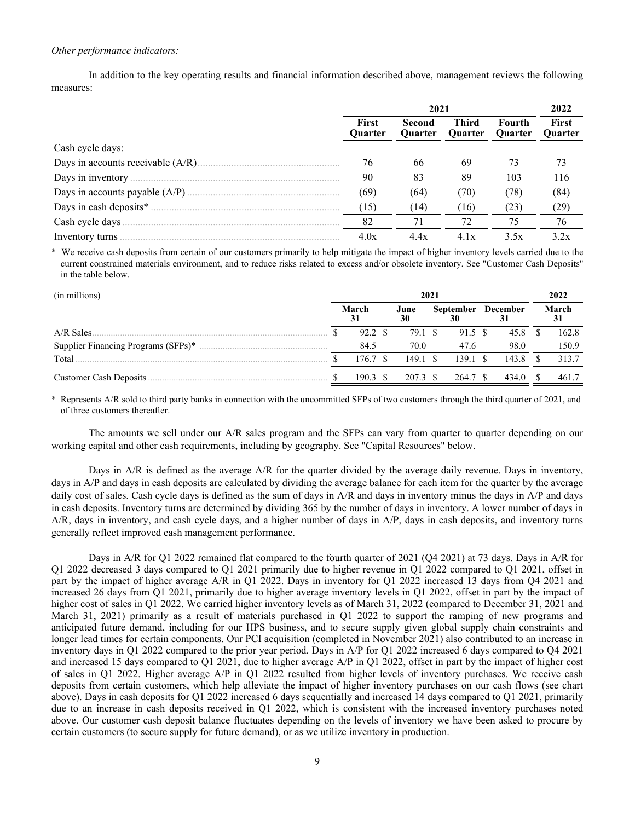## *Other performance indicators:*

 In addition to the key operating results and financial information described above, management reviews the following measures:

|                  |                                | 2022                     |                                |                          |                  |
|------------------|--------------------------------|--------------------------|--------------------------------|--------------------------|------------------|
|                  | <b>First</b><br><b>Ouarter</b> | Second<br><b>Ouarter</b> | <b>Third</b><br><b>Ouarter</b> | Fourth<br><b>Ouarter</b> | First<br>Quarter |
| Cash cycle days: |                                |                          |                                |                          |                  |
|                  | 76                             | 66                       | 69                             | 73                       | 73               |
|                  | 90                             | 83                       | 89                             | 103                      | 116              |
|                  | (69)                           | (64)                     | (70)                           | (78)                     | (84)             |
|                  | (15)                           | (14)                     | (16)                           | (23)                     | (29)             |
|                  | 82                             |                          |                                | 75.                      | 76               |
|                  | 4.0x                           | 4.4x                     | 4.1x                           | 3.5x                     | 3.2x             |

We receive cash deposits from certain of our customers primarily to help mitigate the impact of higher inventory levels carried due to the current constrained materials environment, and to reduce risks related to excess and/or obsolete inventory. See "Customer Cash Deposits" in the table below.

| (in millions)                       | 2021 |                   |  |            |  |                  |  |                 | 2022  |
|-------------------------------------|------|-------------------|--|------------|--|------------------|--|-----------------|-------|
|                                     |      | March<br>31       |  | June<br>30 |  | <b>September</b> |  | <b>December</b> | March |
| A/R Sales                           |      | 92.2 \$           |  | 79.1 \$    |  | 91.5 \$          |  | 45.8            | 162.8 |
| Supplier Financing Programs (SFPs)* |      | 84.5              |  | 70.0       |  | 47.6             |  | 98.0            | 150.9 |
| Total                               |      | 176.7             |  | 149.1      |  | 139.1            |  | 143.8           | 313.7 |
| Customer Cash Deposits.             |      | $190.3 \text{ S}$ |  | 207.3 \$   |  | 264.7 \$         |  | 434.0           | 461.7 |

\* Represents A/R sold to third party banks in connection with the uncommitted SFPs of two customers through the third quarter of 2021, and of three customers thereafter.

The amounts we sell under our A/R sales program and the SFPs can vary from quarter to quarter depending on our working capital and other cash requirements, including by geography. See "Capital Resources" below.

Days in A/R is defined as the average A/R for the quarter divided by the average daily revenue. Days in inventory, days in A/P and days in cash deposits are calculated by dividing the average balance for each item for the quarter by the average daily cost of sales. Cash cycle days is defined as the sum of days in A/R and days in inventory minus the days in A/P and days in cash deposits. Inventory turns are determined by dividing 365 by the number of days in inventory. A lower number of days in A/R, days in inventory, and cash cycle days, and a higher number of days in A/P, days in cash deposits, and inventory turns generally reflect improved cash management performance.

Days in A/R for Q1 2022 remained flat compared to the fourth quarter of 2021 (Q4 2021) at 73 days. Days in A/R for Q1 2022 decreased 3 days compared to Q1 2021 primarily due to higher revenue in Q1 2022 compared to Q1 2021, offset in part by the impact of higher average A/R in Q1 2022. Days in inventory for Q1 2022 increased 13 days from Q4 2021 and increased 26 days from Q1 2021, primarily due to higher average inventory levels in Q1 2022, offset in part by the impact of higher cost of sales in Q1 2022. We carried higher inventory levels as of March 31, 2022 (compared to December 31, 2021 and March 31, 2021) primarily as a result of materials purchased in Q1 2022 to support the ramping of new programs and anticipated future demand, including for our HPS business, and to secure supply given global supply chain constraints and longer lead times for certain components. Our PCI acquisition (completed in November 2021) also contributed to an increase in inventory days in Q1 2022 compared to the prior year period. Days in A/P for Q1 2022 increased 6 days compared to Q4 2021 and increased 15 days compared to Q1 2021, due to higher average A/P in Q1 2022, offset in part by the impact of higher cost of sales in Q1 2022. Higher average A/P in Q1 2022 resulted from higher levels of inventory purchases. We receive cash deposits from certain customers, which help alleviate the impact of higher inventory purchases on our cash flows (see chart above). Days in cash deposits for Q1 2022 increased 6 days sequentially and increased 14 days compared to Q1 2021, primarily due to an increase in cash deposits received in Q1 2022, which is consistent with the increased inventory purchases noted above. Our customer cash deposit balance fluctuates depending on the levels of inventory we have been asked to procure by certain customers (to secure supply for future demand), or as we utilize inventory in production.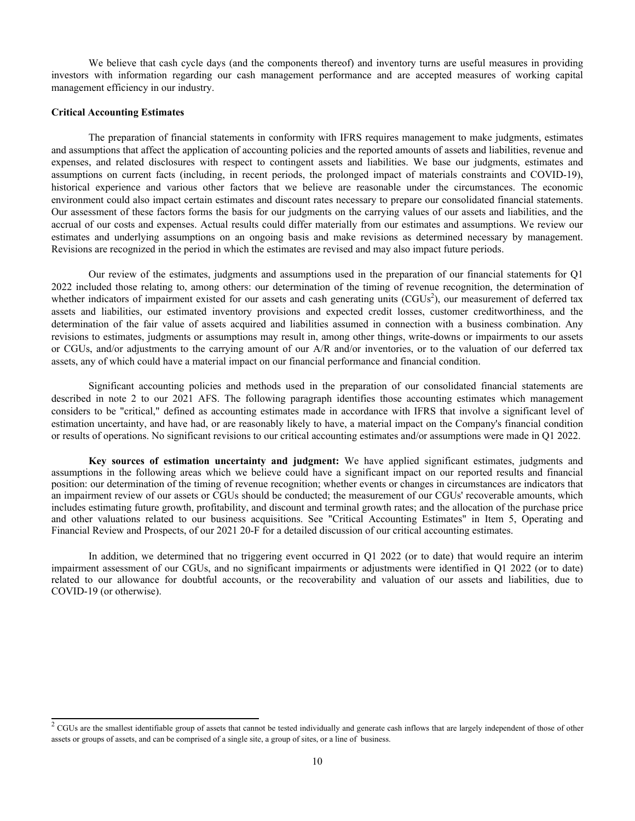We believe that cash cycle days (and the components thereof) and inventory turns are useful measures in providing investors with information regarding our cash management performance and are accepted measures of working capital management efficiency in our industry.

### **Critical Accounting Estimates**

The preparation of financial statements in conformity with IFRS requires management to make judgments, estimates and assumptions that affect the application of accounting policies and the reported amounts of assets and liabilities, revenue and expenses, and related disclosures with respect to contingent assets and liabilities. We base our judgments, estimates and assumptions on current facts (including, in recent periods, the prolonged impact of materials constraints and COVID-19), historical experience and various other factors that we believe are reasonable under the circumstances. The economic environment could also impact certain estimates and discount rates necessary to prepare our consolidated financial statements. Our assessment of these factors forms the basis for our judgments on the carrying values of our assets and liabilities, and the accrual of our costs and expenses. Actual results could differ materially from our estimates and assumptions. We review our estimates and underlying assumptions on an ongoing basis and make revisions as determined necessary by management. Revisions are recognized in the period in which the estimates are revised and may also impact future periods.

Our review of the estimates, judgments and assumptions used in the preparation of our financial statements for Q1 2022 included those relating to, among others: our determination of the timing of revenue recognition, the determination of whether indicators of impairment existed for our assets and cash generating units (CGUs<sup>2</sup>), our measurement of deferred tax assets and liabilities, our estimated inventory provisions and expected credit losses, customer creditworthiness, and the determination of the fair value of assets acquired and liabilities assumed in connection with a business combination. Any revisions to estimates, judgments or assumptions may result in, among other things, write-downs or impairments to our assets or CGUs, and/or adjustments to the carrying amount of our A/R and/or inventories, or to the valuation of our deferred tax assets, any of which could have a material impact on our financial performance and financial condition.

Significant accounting policies and methods used in the preparation of our consolidated financial statements are described in note 2 to our 2021 AFS. The following paragraph identifies those accounting estimates which management considers to be "critical," defined as accounting estimates made in accordance with IFRS that involve a significant level of estimation uncertainty, and have had, or are reasonably likely to have, a material impact on the Company's financial condition or results of operations. No significant revisions to our critical accounting estimates and/or assumptions were made in Q1 2022.

**Key sources of estimation uncertainty and judgment:** We have applied significant estimates, judgments and assumptions in the following areas which we believe could have a significant impact on our reported results and financial position: our determination of the timing of revenue recognition; whether events or changes in circumstances are indicators that an impairment review of our assets or CGUs should be conducted; the measurement of our CGUs' recoverable amounts, which includes estimating future growth, profitability, and discount and terminal growth rates; and the allocation of the purchase price and other valuations related to our business acquisitions. See "Critical Accounting Estimates" in Item 5, Operating and Financial Review and Prospects, of our 2021 20-F for a detailed discussion of our critical accounting estimates.

In addition, we determined that no triggering event occurred in Q1 2022 (or to date) that would require an interim impairment assessment of our CGUs, and no significant impairments or adjustments were identified in Q1 2022 (or to date) related to our allowance for doubtful accounts, or the recoverability and valuation of our assets and liabilities, due to COVID-19 (or otherwise).

 $2^2$  CGUs are the smallest identifiable group of assets that cannot be tested individually and generate cash inflows that are largely independent of those of other assets or groups of assets, and can be comprised of a single site, a group of sites, or a line of business.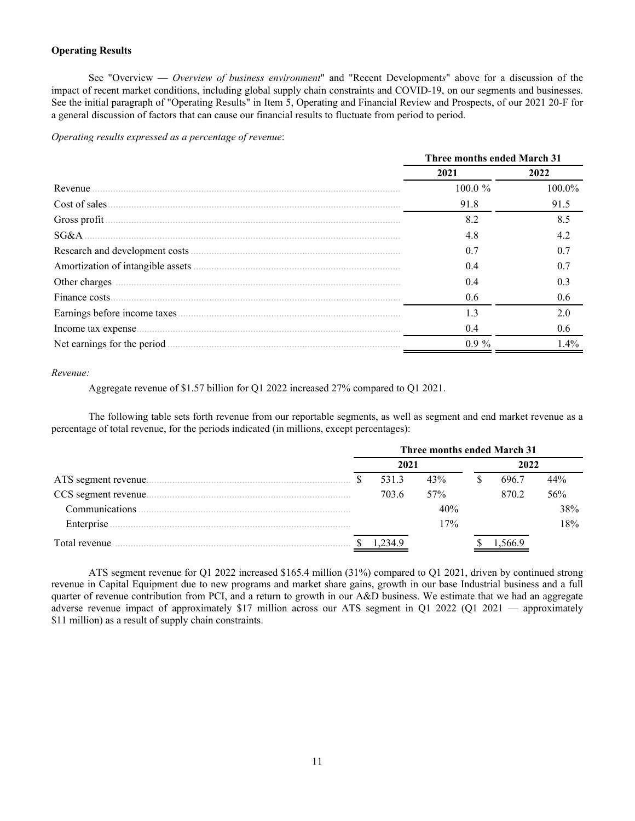## **Operating Results**

 See "Overview — *Overview of business environment*" and "Recent Development*s*" above for a discussion of the impact of recent market conditions, including global supply chain constraints and COVID-19, on our segments and businesses. See the initial paragraph of "Operating Results" in Item 5, Operating and Financial Review and Prospects, of our 2021 20-F for a general discussion of factors that can cause our financial results to fluctuate from period to period.

*Operating results expressed as a percentage of revenue*:

|                             | Three months ended March 31 |           |
|-----------------------------|-----------------------------|-----------|
|                             | 2021                        | 2022      |
| Revenue                     | $100.0 \%$                  | $100.0\%$ |
| Cost of sales               | 91.8                        | 91.5      |
| Gross profit.               | 8.2                         | 8.5       |
| SG&A                        | 4.8                         | 42        |
|                             | 0.7                         | 0.7       |
|                             | 04                          | 0.7       |
|                             | 0.4                         | 0.3       |
|                             | 0.6                         | 0.6       |
|                             | 1.3                         | 2.0       |
|                             | 0.4                         | 0.6       |
| Net earnings for the period | $0.9\%$                     | 1.4%      |
|                             |                             |           |

## *Revenue:*

Aggregate revenue of \$1.57 billion for Q1 2022 increased 27% compared to Q1 2021.

 The following table sets forth revenue from our reportable segments, as well as segment and end market revenue as a percentage of total revenue, for the periods indicated (in millions, except percentages):

|                | Three months ended March 31 |        |     |  |       |     |  |  |
|----------------|-----------------------------|--------|-----|--|-------|-----|--|--|
|                |                             | 2021   |     |  | 2022  |     |  |  |
|                |                             | 531.3  | 43% |  | 696.7 | 44% |  |  |
|                |                             | 703.6  | 57% |  | 870.2 | 56% |  |  |
| Communications |                             |        | 40% |  |       | 38% |  |  |
| Enterprise.    |                             |        | 17% |  |       | 18% |  |  |
| Total revenue  |                             | -234.9 |     |  |       |     |  |  |

ATS segment revenue for Q1 2022 increased \$165.4 million (31%) compared to Q1 2021, driven by continued strong revenue in Capital Equipment due to new programs and market share gains, growth in our base Industrial business and a full quarter of revenue contribution from PCI, and a return to growth in our  $A\&D$  business. We estimate that we had an aggregate adverse revenue impact of approximately \$17 million across our ATS segment in Q1 2022 (Q1 2021 — approximately \$11 million) as a result of supply chain constraints.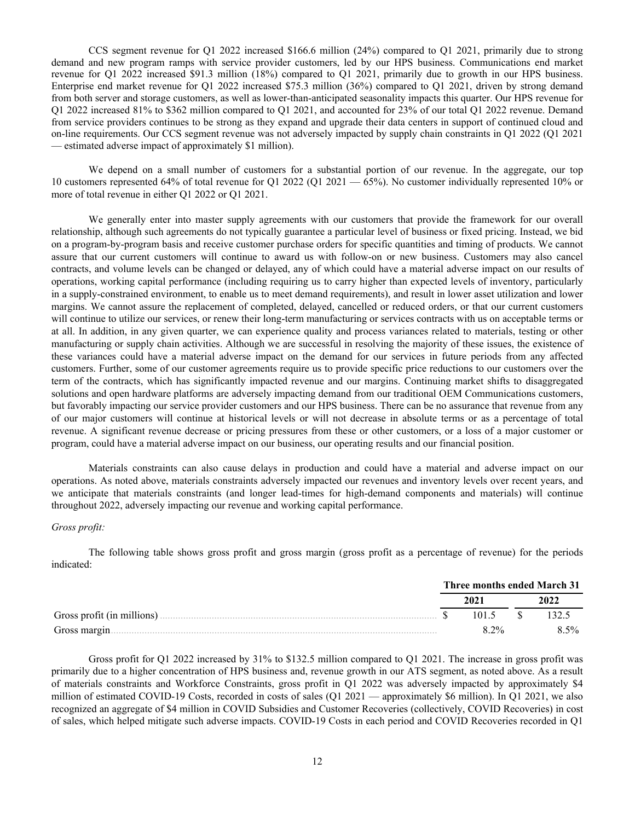CCS segment revenue for Q1 2022 increased \$166.6 million (24%) compared to Q1 2021, primarily due to strong demand and new program ramps with service provider customers, led by our HPS business. Communications end market revenue for Q1 2022 increased \$91.3 million (18%) compared to Q1 2021, primarily due to growth in our HPS business. Enterprise end market revenue for Q1 2022 increased \$75.3 million (36%) compared to Q1 2021, driven by strong demand from both server and storage customers, as well as lower-than-anticipated seasonality impacts this quarter. Our HPS revenue for Q1 2022 increased 81% to \$362 million compared to Q1 2021, and accounted for 23% of our total Q1 2022 revenue. Demand from service providers continues to be strong as they expand and upgrade their data centers in support of continued cloud and on-line requirements. Our CCS segment revenue was not adversely impacted by supply chain constraints in Q1 2022 (Q1 2021 — estimated adverse impact of approximately \$1 million).

We depend on a small number of customers for a substantial portion of our revenue. In the aggregate, our top 10 customers represented 64% of total revenue for Q1 2022 (Q1 2021 — 65%). No customer individually represented 10% or more of total revenue in either Q1 2022 or Q1 2021.

We generally enter into master supply agreements with our customers that provide the framework for our overall relationship, although such agreements do not typically guarantee a particular level of business or fixed pricing. Instead, we bid on a program-by-program basis and receive customer purchase orders for specific quantities and timing of products. We cannot assure that our current customers will continue to award us with follow-on or new business. Customers may also cancel contracts, and volume levels can be changed or delayed, any of which could have a material adverse impact on our results of operations, working capital performance (including requiring us to carry higher than expected levels of inventory, particularly in a supply-constrained environment, to enable us to meet demand requirements), and result in lower asset utilization and lower margins. We cannot assure the replacement of completed, delayed, cancelled or reduced orders, or that our current customers will continue to utilize our services, or renew their long-term manufacturing or services contracts with us on acceptable terms or at all. In addition, in any given quarter, we can experience quality and process variances related to materials, testing or other manufacturing or supply chain activities. Although we are successful in resolving the majority of these issues, the existence of these variances could have a material adverse impact on the demand for our services in future periods from any affected customers. Further, some of our customer agreements require us to provide specific price reductions to our customers over the term of the contracts, which has significantly impacted revenue and our margins. Continuing market shifts to disaggregated solutions and open hardware platforms are adversely impacting demand from our traditional OEM Communications customers, but favorably impacting our service provider customers and our HPS business. There can be no assurance that revenue from any of our major customers will continue at historical levels or will not decrease in absolute terms or as a percentage of total revenue. A significant revenue decrease or pricing pressures from these or other customers, or a loss of a major customer or program, could have a material adverse impact on our business, our operating results and our financial position.

Materials constraints can also cause delays in production and could have a material and adverse impact on our operations. As noted above, materials constraints adversely impacted our revenues and inventory levels over recent years, and we anticipate that materials constraints (and longer lead-times for high-demand components and materials) will continue throughout 2022, adversely impacting our revenue and working capital performance.

### *Gross profit:*

The following table shows gross profit and gross margin (gross profit as a percentage of revenue) for the periods indicated:

|                             | Three months ended March 31 |      |         |
|-----------------------------|-----------------------------|------|---------|
|                             | 202.                        | 2022 |         |
| Gross profit (in millions). | 1015                        |      |         |
| Gross margin.               | $8.2\%$                     |      | $8.5\%$ |

Gross profit for Q1 2022 increased by 31% to \$132.5 million compared to Q1 2021. The increase in gross profit was primarily due to a higher concentration of HPS business and, revenue growth in our ATS segment, as noted above. As a result of materials constraints and Workforce Constraints, gross profit in Q1 2022 was adversely impacted by approximately \$4 million of estimated COVID-19 Costs, recorded in costs of sales (Q1 2021 — approximately \$6 million). In Q1 2021, we also recognized an aggregate of \$4 million in COVID Subsidies and Customer Recoveries (collectively, COVID Recoveries) in cost of sales, which helped mitigate such adverse impacts. COVID-19 Costs in each period and COVID Recoveries recorded in Q1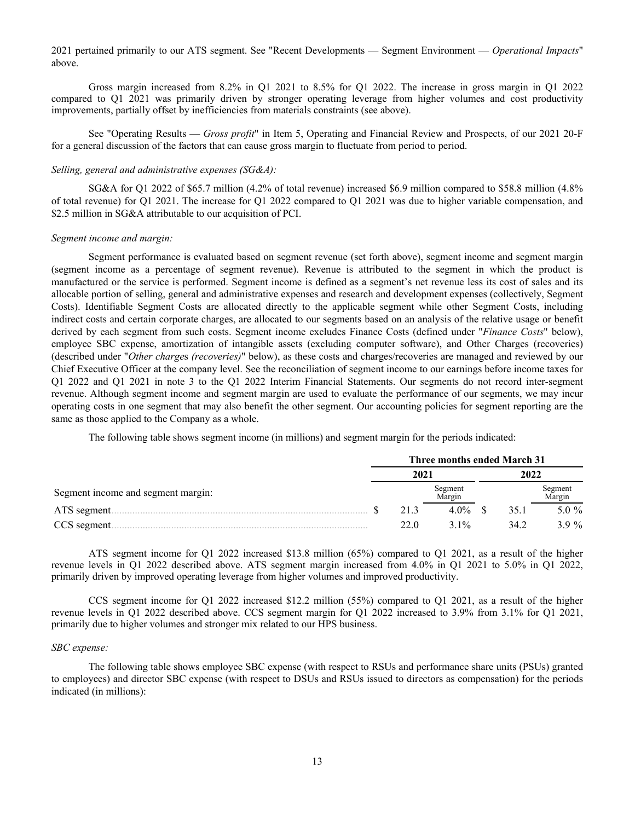2021 pertained primarily to our ATS segment. See "Recent Developments — Segment Environment — *Operational Impacts*" above.

Gross margin increased from 8.2% in Q1 2021 to 8.5% for Q1 2022. The increase in gross margin in Q1 2022 compared to Q1 2021 was primarily driven by stronger operating leverage from higher volumes and cost productivity improvements, partially offset by inefficiencies from materials constraints (see above).

See "Operating Results — *Gross profit*" in Item 5, Operating and Financial Review and Prospects, of our 2021 20-F for a general discussion of the factors that can cause gross margin to fluctuate from period to period.

## *Selling, general and administrative expenses (SG&A):*

SG&A for Q1 2022 of \$65.7 million (4.2% of total revenue) increased \$6.9 million compared to \$58.8 million (4.8% of total revenue) for Q1 2021. The increase for Q1 2022 compared to Q1 2021 was due to higher variable compensation, and \$2.5 million in SG&A attributable to our acquisition of PCI.

### *Segment income and margin:*

 Segment performance is evaluated based on segment revenue (set forth above), segment income and segment margin (segment income as a percentage of segment revenue). Revenue is attributed to the segment in which the product is manufactured or the service is performed. Segment income is defined as a segment's net revenue less its cost of sales and its allocable portion of selling, general and administrative expenses and research and development expenses (collectively, Segment Costs). Identifiable Segment Costs are allocated directly to the applicable segment while other Segment Costs, including indirect costs and certain corporate charges, are allocated to our segments based on an analysis of the relative usage or benefit derived by each segment from such costs. Segment income excludes Finance Costs (defined under "*Finance Costs*" below), employee SBC expense, amortization of intangible assets (excluding computer software), and Other Charges (recoveries) (described under "*Other charge*s *(recoveries)*" below), as these costs and charges/recoveries are managed and reviewed by our Chief Executive Officer at the company level. See the reconciliation of segment income to our earnings before income taxes for Q1 2022 and Q1 2021 in note 3 to the Q1 2022 Interim Financial Statements. Our segments do not record inter-segment revenue. Although segment income and segment margin are used to evaluate the performance of our segments, we may incur operating costs in one segment that may also benefit the other segment. Our accounting policies for segment reporting are the same as those applied to the Company as a whole.

The following table shows segment income (in millions) and segment margin for the periods indicated:

|                                    | Three months ended March 31 |      |                   |  |      |                   |  |  |
|------------------------------------|-----------------------------|------|-------------------|--|------|-------------------|--|--|
|                                    | 2021                        |      |                   |  | 2022 |                   |  |  |
| Segment income and segment margin: |                             |      | Segment<br>Margin |  |      | Segment<br>Margin |  |  |
| ATS segment                        |                             | 213  | $4.0\%$           |  | 35.1 | 5.0 $%$           |  |  |
| CCS segment.                       |                             | 22 Q | $31\%$            |  | 34 2 | $3.9\%$           |  |  |

ATS segment income for Q1 2022 increased \$13.8 million (65%) compared to Q1 2021, as a result of the higher revenue levels in Q1 2022 described above. ATS segment margin increased from 4.0% in Q1 2021 to 5.0% in Q1 2022, primarily driven by improved operating leverage from higher volumes and improved productivity.

CCS segment income for Q1 2022 increased \$12.2 million (55%) compared to Q1 2021, as a result of the higher revenue levels in Q1 2022 described above. CCS segment margin for Q1 2022 increased to 3.9% from 3.1% for Q1 2021, primarily due to higher volumes and stronger mix related to our HPS business.

### *SBC expense:*

The following table shows employee SBC expense (with respect to RSUs and performance share units (PSUs) granted to employees) and director SBC expense (with respect to DSUs and RSUs issued to directors as compensation) for the periods indicated (in millions):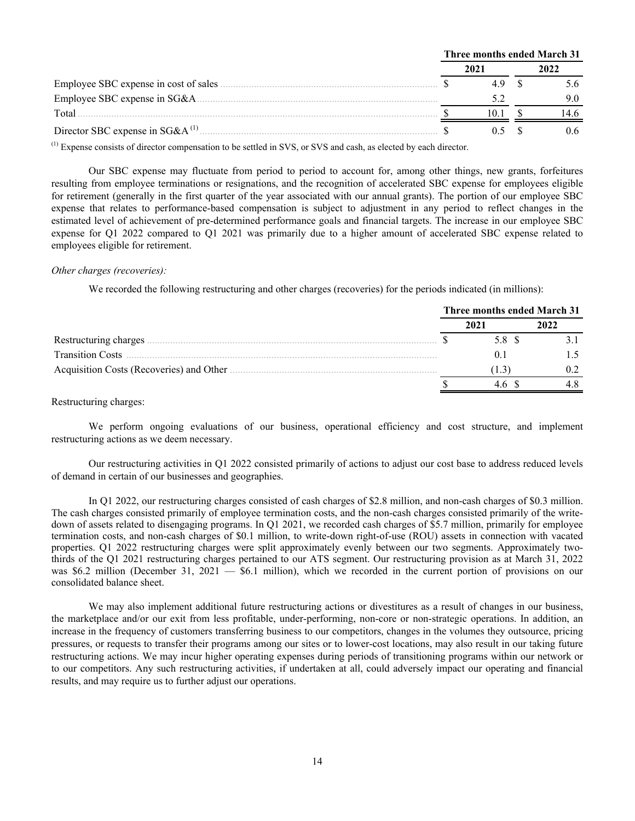|                                         | Three months ended March 31 |  |      |
|-----------------------------------------|-----------------------------|--|------|
|                                         |                             |  | 2022 |
| Employee SBC expense in cost of sales   |                             |  |      |
|                                         |                             |  |      |
| Total                                   |                             |  |      |
| Director SBC expense in SG&A $^{(1)}$ . |                             |  |      |

(1) Expense consists of director compensation to be settled in SVS, or SVS and cash, as elected by each director.

 Our SBC expense may fluctuate from period to period to account for, among other things, new grants, forfeitures resulting from employee terminations or resignations, and the recognition of accelerated SBC expense for employees eligible for retirement (generally in the first quarter of the year associated with our annual grants). The portion of our employee SBC expense that relates to performance-based compensation is subject to adjustment in any period to reflect changes in the estimated level of achievement of pre-determined performance goals and financial targets. The increase in our employee SBC expense for Q1 2022 compared to Q1 2021 was primarily due to a higher amount of accelerated SBC expense related to employees eligible for retirement.

### *Other charges (recoveries):*

We recorded the following restructuring and other charges (recoveries) for the periods indicated (in millions):

|                         | Three months ended March 31 |      |
|-------------------------|-----------------------------|------|
|                         | 2021                        | 2022 |
| Restructuring charges.  | 5.8 S                       |      |
| <b>Transition Costs</b> |                             |      |
|                         |                             |      |
|                         |                             |      |

### Restructuring charges:

We perform ongoing evaluations of our business, operational efficiency and cost structure, and implement restructuring actions as we deem necessary.

Our restructuring activities in Q1 2022 consisted primarily of actions to adjust our cost base to address reduced levels of demand in certain of our businesses and geographies.

 In Q1 2022, our restructuring charges consisted of cash charges of \$2.8 million, and non-cash charges of \$0.3 million. The cash charges consisted primarily of employee termination costs, and the non-cash charges consisted primarily of the writedown of assets related to disengaging programs. In Q1 2021, we recorded cash charges of \$5.7 million, primarily for employee termination costs, and non-cash charges of \$0.1 million, to write-down right-of-use (ROU) assets in connection with vacated properties. Q1 2022 restructuring charges were split approximately evenly between our two segments. Approximately twothirds of the Q1 2021 restructuring charges pertained to our ATS segment. Our restructuring provision as at March 31, 2022 was \$6.2 million (December 31, 2021 — \$6.1 million), which we recorded in the current portion of provisions on our consolidated balance sheet.

We may also implement additional future restructuring actions or divestitures as a result of changes in our business, the marketplace and/or our exit from less profitable, under-performing, non-core or non-strategic operations. In addition, an increase in the frequency of customers transferring business to our competitors, changes in the volumes they outsource, pricing pressures, or requests to transfer their programs among our sites or to lower-cost locations, may also result in our taking future restructuring actions. We may incur higher operating expenses during periods of transitioning programs within our network or to our competitors. Any such restructuring activities, if undertaken at all, could adversely impact our operating and financial results, and may require us to further adjust our operations.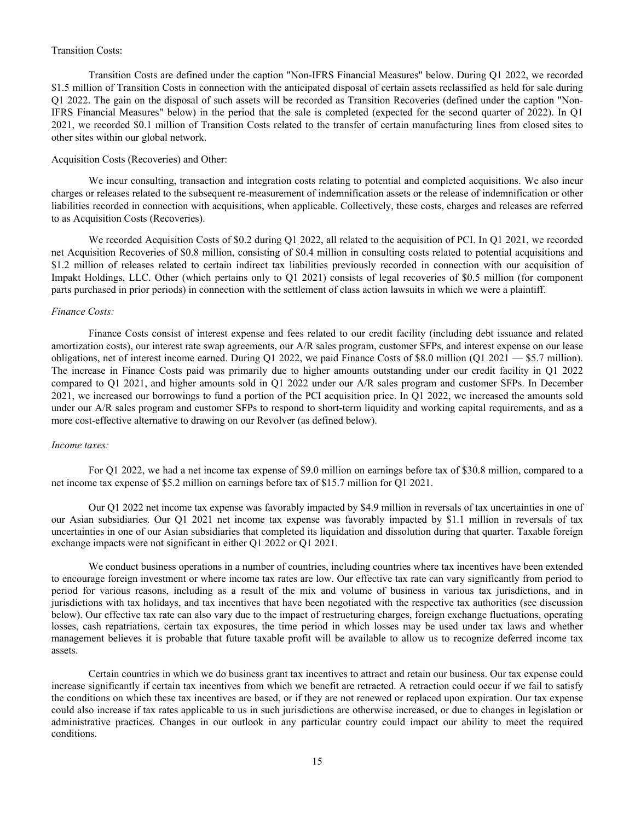# Transition Costs:

 Transition Costs are defined under the caption "Non-IFRS Financial Measures" below. During Q1 2022, we recorded \$1.5 million of Transition Costs in connection with the anticipated disposal of certain assets reclassified as held for sale during Q1 2022. The gain on the disposal of such assets will be recorded as Transition Recoveries (defined under the caption "Non-IFRS Financial Measures" below) in the period that the sale is completed (expected for the second quarter of 2022). In Q1 2021, we recorded \$0.1 million of Transition Costs related to the transfer of certain manufacturing lines from closed sites to other sites within our global network.

# Acquisition Costs (Recoveries) and Other:

We incur consulting, transaction and integration costs relating to potential and completed acquisitions. We also incur charges or releases related to the subsequent re-measurement of indemnification assets or the release of indemnification or other liabilities recorded in connection with acquisitions, when applicable. Collectively, these costs, charges and releases are referred to as Acquisition Costs (Recoveries).

We recorded Acquisition Costs of \$0.2 during Q1 2022, all related to the acquisition of PCI. In Q1 2021, we recorded net Acquisition Recoveries of \$0.8 million, consisting of \$0.4 million in consulting costs related to potential acquisitions and \$1.2 million of releases related to certain indirect tax liabilities previously recorded in connection with our acquisition of Impakt Holdings, LLC. Other (which pertains only to Q1 2021) consists of legal recoveries of \$0.5 million (for component parts purchased in prior periods) in connection with the settlement of class action lawsuits in which we were a plaintiff.

### *Finance Costs:*

 Finance Costs consist of interest expense and fees related to our credit facility (including debt issuance and related amortization costs), our interest rate swap agreements, our A/R sales program, customer SFPs, and interest expense on our lease obligations, net of interest income earned. During Q1 2022, we paid Finance Costs of \$8.0 million (Q1 2021 — \$5.7 million). The increase in Finance Costs paid was primarily due to higher amounts outstanding under our credit facility in Q1 2022 compared to Q1 2021, and higher amounts sold in Q1 2022 under our A/R sales program and customer SFPs. In December 2021, we increased our borrowings to fund a portion of the PCI acquisition price. In Q1 2022, we increased the amounts sold under our A/R sales program and customer SFPs to respond to short-term liquidity and working capital requirements, and as a more cost-effective alternative to drawing on our Revolver (as defined below).

#### *Income taxes:*

For Q1 2022, we had a net income tax expense of \$9.0 million on earnings before tax of \$30.8 million, compared to a net income tax expense of \$5.2 million on earnings before tax of \$15.7 million for Q1 2021.

Our Q1 2022 net income tax expense was favorably impacted by \$4.9 million in reversals of tax uncertainties in one of our Asian subsidiaries. Our Q1 2021 net income tax expense was favorably impacted by \$1.1 million in reversals of tax uncertainties in one of our Asian subsidiaries that completed its liquidation and dissolution during that quarter. Taxable foreign exchange impacts were not significant in either Q1 2022 or Q1 2021.

We conduct business operations in a number of countries, including countries where tax incentives have been extended to encourage foreign investment or where income tax rates are low. Our effective tax rate can vary significantly from period to period for various reasons, including as a result of the mix and volume of business in various tax jurisdictions, and in jurisdictions with tax holidays, and tax incentives that have been negotiated with the respective tax authorities (see discussion below). Our effective tax rate can also vary due to the impact of restructuring charges, foreign exchange fluctuations, operating losses, cash repatriations, certain tax exposures, the time period in which losses may be used under tax laws and whether management believes it is probable that future taxable profit will be available to allow us to recognize deferred income tax assets.

Certain countries in which we do business grant tax incentives to attract and retain our business. Our tax expense could increase significantly if certain tax incentives from which we benefit are retracted. A retraction could occur if we fail to satisfy the conditions on which these tax incentives are based, or if they are not renewed or replaced upon expiration. Our tax expense could also increase if tax rates applicable to us in such jurisdictions are otherwise increased, or due to changes in legislation or administrative practices. Changes in our outlook in any particular country could impact our ability to meet the required conditions.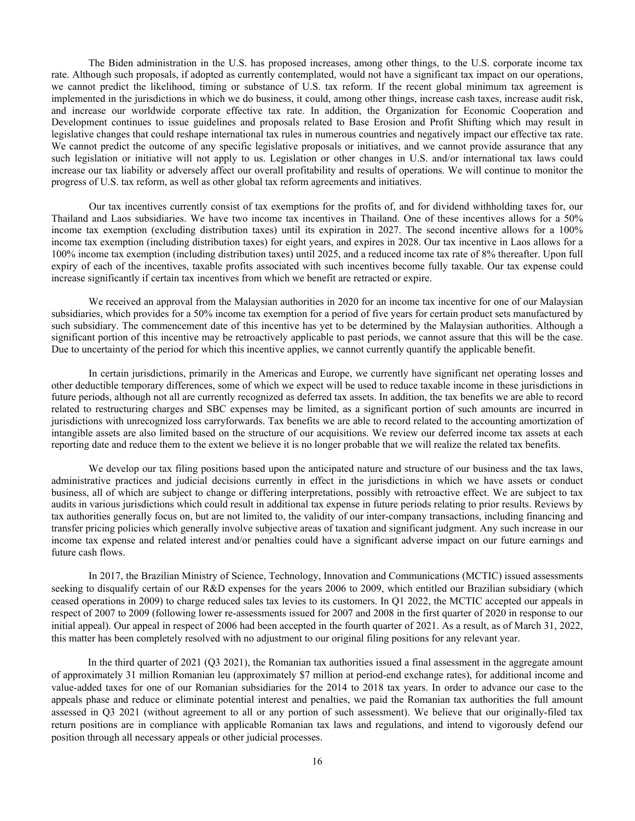The Biden administration in the U.S. has proposed increases, among other things, to the U.S. corporate income tax rate. Although such proposals, if adopted as currently contemplated, would not have a significant tax impact on our operations, we cannot predict the likelihood, timing or substance of U.S. tax reform. If the recent global minimum tax agreement is implemented in the jurisdictions in which we do business, it could, among other things, increase cash taxes, increase audit risk, and increase our worldwide corporate effective tax rate. In addition, the Organization for Economic Cooperation and Development continues to issue guidelines and proposals related to Base Erosion and Profit Shifting which may result in legislative changes that could reshape international tax rules in numerous countries and negatively impact our effective tax rate. We cannot predict the outcome of any specific legislative proposals or initiatives, and we cannot provide assurance that any such legislation or initiative will not apply to us. Legislation or other changes in U.S. and/or international tax laws could increase our tax liability or adversely affect our overall profitability and results of operations. We will continue to monitor the progress of U.S. tax reform, as well as other global tax reform agreements and initiatives.

 Our tax incentives currently consist of tax exemptions for the profits of, and for dividend withholding taxes for, our Thailand and Laos subsidiaries. We have two income tax incentives in Thailand. One of these incentives allows for a 50% income tax exemption (excluding distribution taxes) until its expiration in 2027. The second incentive allows for a 100% income tax exemption (including distribution taxes) for eight years, and expires in 2028. Our tax incentive in Laos allows for a 100% income tax exemption (including distribution taxes) until 2025, and a reduced income tax rate of 8% thereafter. Upon full expiry of each of the incentives, taxable profits associated with such incentives become fully taxable. Our tax expense could increase significantly if certain tax incentives from which we benefit are retracted or expire.

We received an approval from the Malaysian authorities in 2020 for an income tax incentive for one of our Malaysian subsidiaries, which provides for a 50% income tax exemption for a period of five years for certain product sets manufactured by such subsidiary. The commencement date of this incentive has yet to be determined by the Malaysian authorities. Although a significant portion of this incentive may be retroactively applicable to past periods, we cannot assure that this will be the case. Due to uncertainty of the period for which this incentive applies, we cannot currently quantify the applicable benefit.

In certain jurisdictions, primarily in the Americas and Europe, we currently have significant net operating losses and other deductible temporary differences, some of which we expect will be used to reduce taxable income in these jurisdictions in future periods, although not all are currently recognized as deferred tax assets. In addition, the tax benefits we are able to record related to restructuring charges and SBC expenses may be limited, as a significant portion of such amounts are incurred in jurisdictions with unrecognized loss carryforwards. Tax benefits we are able to record related to the accounting amortization of intangible assets are also limited based on the structure of our acquisitions. We review our deferred income tax assets at each reporting date and reduce them to the extent we believe it is no longer probable that we will realize the related tax benefits.

We develop our tax filing positions based upon the anticipated nature and structure of our business and the tax laws, administrative practices and judicial decisions currently in effect in the jurisdictions in which we have assets or conduct business, all of which are subject to change or differing interpretations, possibly with retroactive effect. We are subject to tax audits in various jurisdictions which could result in additional tax expense in future periods relating to prior results. Reviews by tax authorities generally focus on, but are not limited to, the validity of our inter-company transactions, including financing and transfer pricing policies which generally involve subjective areas of taxation and significant judgment. Any such increase in our income tax expense and related interest and/or penalties could have a significant adverse impact on our future earnings and future cash flows.

 In 2017, the Brazilian Ministry of Science, Technology, Innovation and Communications (MCTIC) issued assessments seeking to disqualify certain of our R&D expenses for the years 2006 to 2009, which entitled our Brazilian subsidiary (which ceased operations in 2009) to charge reduced sales tax levies to its customers. In Q1 2022, the MCTIC accepted our appeals in respect of 2007 to 2009 (following lower re-assessments issued for 2007 and 2008 in the first quarter of 2020 in response to our initial appeal). Our appeal in respect of 2006 had been accepted in the fourth quarter of 2021. As a result, as of March 31, 2022, this matter has been completely resolved with no adjustment to our original filing positions for any relevant year.

 In the third quarter of 2021 (Q3 2021), the Romanian tax authorities issued a final assessment in the aggregate amount of approximately 31 million Romanian leu (approximately \$7 million at period-end exchange rates), for additional income and value-added taxes for one of our Romanian subsidiaries for the 2014 to 2018 tax years. In order to advance our case to the appeals phase and reduce or eliminate potential interest and penalties, we paid the Romanian tax authorities the full amount assessed in Q3 2021 (without agreement to all or any portion of such assessment). We believe that our originally-filed tax return positions are in compliance with applicable Romanian tax laws and regulations, and intend to vigorously defend our position through all necessary appeals or other judicial processes.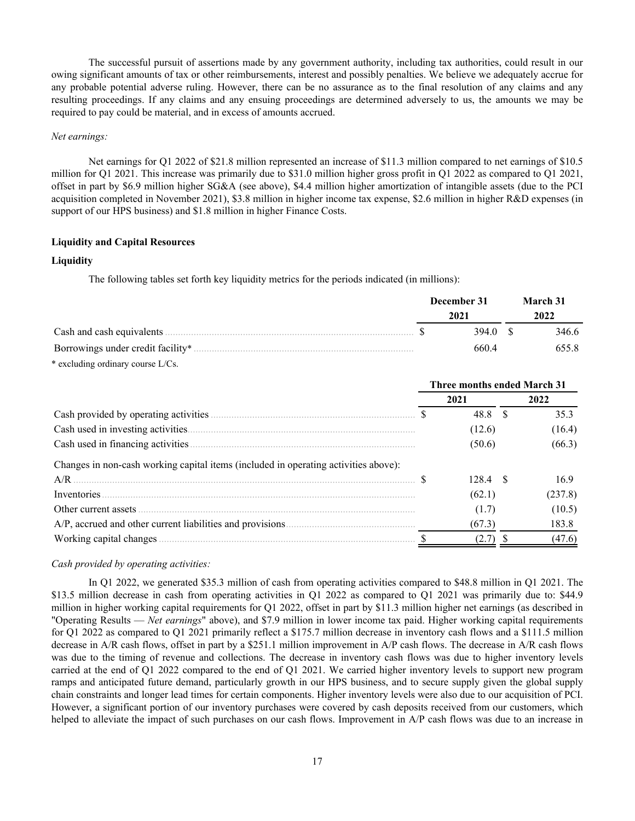The successful pursuit of assertions made by any government authority, including tax authorities, could result in our owing significant amounts of tax or other reimbursements, interest and possibly penalties. We believe we adequately accrue for any probable potential adverse ruling. However, there can be no assurance as to the final resolution of any claims and any resulting proceedings. If any claims and any ensuing proceedings are determined adversely to us, the amounts we may be required to pay could be material, and in excess of amounts accrued.

## *Net earnings:*

 Net earnings for Q1 2022 of \$21.8 million represented an increase of \$11.3 million compared to net earnings of \$10.5 million for Q1 2021. This increase was primarily due to \$31.0 million higher gross profit in Q1 2022 as compared to Q1 2021, offset in part by \$6.9 million higher SG&A (see above), \$4.4 million higher amortization of intangible assets (due to the PCI acquisition completed in November 2021), \$3.8 million in higher income tax expense, \$2.6 million in higher R&D expenses (in support of our HPS business) and \$1.8 million in higher Finance Costs.

## **Liquidity and Capital Resources**

## **Liquidity**

The following tables set forth key liquidity metrics for the periods indicated (in millions):

|                                     | December 31 | <b>March 31</b> |
|-------------------------------------|-------------|-----------------|
|                                     | 2021        | 2022            |
|                                     | 394.0 S     | 346.6           |
|                                     | 660.4       | 655.8           |
| $*$ excluding ordinary course L/Cs. |             |                 |

|                                                                                     | <b>Three months ended March 31</b> |            |  |         |  |  |  |
|-------------------------------------------------------------------------------------|------------------------------------|------------|--|---------|--|--|--|
|                                                                                     |                                    | 2021       |  | 2022    |  |  |  |
|                                                                                     |                                    | 48.8       |  | 353     |  |  |  |
|                                                                                     |                                    | (12.6)     |  | (16.4)  |  |  |  |
|                                                                                     |                                    | (50.6)     |  | (66.3)  |  |  |  |
| Changes in non-cash working capital items (included in operating activities above): |                                    |            |  |         |  |  |  |
| A/R                                                                                 |                                    | $128.4$ \$ |  | 169     |  |  |  |
| Inventories                                                                         |                                    | (62.1)     |  | (237.8) |  |  |  |
| Other current assets                                                                |                                    | (1.7)      |  | (10.5)  |  |  |  |
|                                                                                     |                                    | (67.3)     |  | 183.8   |  |  |  |
|                                                                                     |                                    |            |  | (47.6)  |  |  |  |

## *Cash provided by operating activities:*

In Q1 2022, we generated \$35.3 million of cash from operating activities compared to \$48.8 million in Q1 2021. The \$13.5 million decrease in cash from operating activities in Q1 2022 as compared to Q1 2021 was primarily due to: \$44.9 million in higher working capital requirements for Q1 2022, offset in part by \$11.3 million higher net earnings (as described in "Operating Results — *Net earnings*" above), and \$7.9 million in lower income tax paid. Higher working capital requirements for Q1 2022 as compared to Q1 2021 primarily reflect a \$175.7 million decrease in inventory cash flows and a \$111.5 million decrease in A/R cash flows, offset in part by a \$251.1 million improvement in A/P cash flows. The decrease in A/R cash flows was due to the timing of revenue and collections. The decrease in inventory cash flows was due to higher inventory levels carried at the end of Q1 2022 compared to the end of Q1 2021. We carried higher inventory levels to support new program ramps and anticipated future demand, particularly growth in our HPS business, and to secure supply given the global supply chain constraints and longer lead times for certain components. Higher inventory levels were also due to our acquisition of PCI. However, a significant portion of our inventory purchases were covered by cash deposits received from our customers, which helped to alleviate the impact of such purchases on our cash flows. Improvement in A/P cash flows was due to an increase in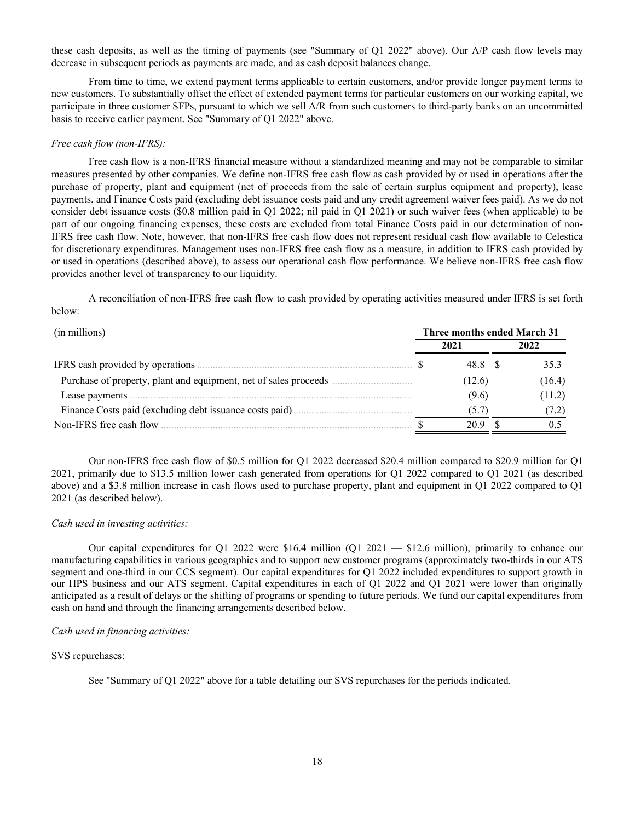these cash deposits, as well as the timing of payments (see "Summary of Q1 2022" above). Our A/P cash flow levels may decrease in subsequent periods as payments are made, and as cash deposit balances change.

From time to time, we extend payment terms applicable to certain customers, and/or provide longer payment terms to new customers. To substantially offset the effect of extended payment terms for particular customers on our working capital, we participate in three customer SFPs, pursuant to which we sell A/R from such customers to third-party banks on an uncommitted basis to receive earlier payment. See "Summary of Q1 2022" above.

## *Free cash flow (non-IFRS):*

 Free cash flow is a non-IFRS financial measure without a standardized meaning and may not be comparable to similar measures presented by other companies. We define non-IFRS free cash flow as cash provided by or used in operations after the purchase of property, plant and equipment (net of proceeds from the sale of certain surplus equipment and property), lease payments, and Finance Costs paid (excluding debt issuance costs paid and any credit agreement waiver fees paid). As we do not consider debt issuance costs (\$0.8 million paid in Q1 2022; nil paid in Q1 2021) or such waiver fees (when applicable) to be part of our ongoing financing expenses, these costs are excluded from total Finance Costs paid in our determination of non-IFRS free cash flow. Note, however, that non-IFRS free cash flow does not represent residual cash flow available to Celestica for discretionary expenditures. Management uses non-IFRS free cash flow as a measure, in addition to IFRS cash provided by or used in operations (described above), to assess our operational cash flow performance. We believe non-IFRS free cash flow provides another level of transparency to our liquidity.

 A reconciliation of non-IFRS free cash flow to cash provided by operating activities measured under IFRS is set forth below:

| (in millions)                                                    | Three months ended March 31 |        |  |        |  |  |  |  |  |  |  |
|------------------------------------------------------------------|-----------------------------|--------|--|--------|--|--|--|--|--|--|--|
|                                                                  |                             | 2021   |  | 2022   |  |  |  |  |  |  |  |
|                                                                  |                             | 48.8   |  | 35.3   |  |  |  |  |  |  |  |
| Purchase of property, plant and equipment, net of sales proceeds |                             | (12.6) |  | (16.4) |  |  |  |  |  |  |  |
| Lease payments                                                   |                             | (9.6)  |  | (11.2) |  |  |  |  |  |  |  |
| Finance Costs paid (excluding debt issuance costs paid)          |                             | (5.7)  |  | (7.2)  |  |  |  |  |  |  |  |
| Non-IFRS free cash flow                                          |                             | 20.9   |  |        |  |  |  |  |  |  |  |

Our non-IFRS free cash flow of \$0.5 million for Q1 2022 decreased \$20.4 million compared to \$20.9 million for Q1 2021, primarily due to \$13.5 million lower cash generated from operations for Q1 2022 compared to Q1 2021 (as described above) and a \$3.8 million increase in cash flows used to purchase property, plant and equipment in Q1 2022 compared to Q1 2021 (as described below).

### *Cash used in investing activities:*

Our capital expenditures for Q1 2022 were \$16.4 million (Q1 2021 — \$12.6 million), primarily to enhance our manufacturing capabilities in various geographies and to support new customer programs (approximately two-thirds in our ATS segment and one-third in our CCS segment). Our capital expenditures for Q1 2022 included expenditures to support growth in our HPS business and our ATS segment. Capital expenditures in each of Q1 2022 and Q1 2021 were lower than originally anticipated as a result of delays or the shifting of programs or spending to future periods. We fund our capital expenditures from cash on hand and through the financing arrangements described below.

### *Cash used in financing activities:*

## SVS repurchases:

See "Summary of Q1 2022" above for a table detailing our SVS repurchases for the periods indicated.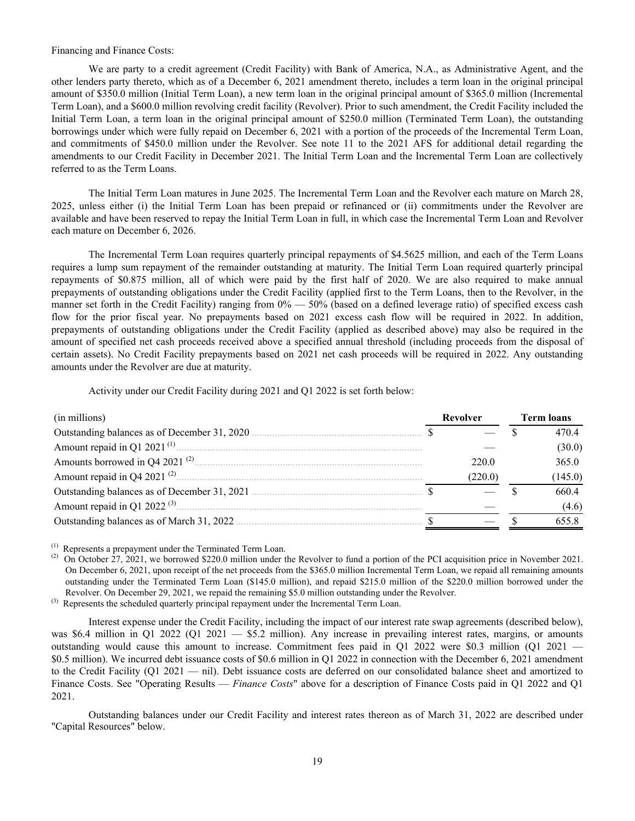## Financing and Finance Costs:

We are party to a credit agreement (Credit Facility) with Bank of America, N.A., as Administrative Agent, and the other lenders party thereto, which as of a December 6, 2021 amendment thereto, includes a term loan in the original principal amount of \$350.0 million (Initial Term Loan), a new term loan in the original principal amount of \$365.0 million (Incremental Term Loan), and a \$600.0 million revolving credit facility (Revolver). Prior to such amendment, the Credit Facility included the Initial Term Loan, a term loan in the original principal amount of \$250.0 million (Terminated Term Loan), the outstanding borrowings under which were fully repaid on December 6, 2021 with a portion of the proceeds of the Incremental Term Loan, and commitments of \$450.0 million under the Revolver. See note 11 to the 2021 AFS for additional detail regarding the amendments to our Credit Facility in December 2021. The Initial Term Loan and the Incremental Term Loan are collectively referred to as the Term Loans.

The Initial Term Loan matures in June 2025. The Incremental Term Loan and the Revolver each mature on March 28, 2025, unless either (i) the Initial Term Loan has been prepaid or refinanced or (ii) commitments under the Revolver are available and have been reserved to repay the Initial Term Loan in full, in which case the Incremental Term Loan and Revolver each mature on December 6, 2026.

The Incremental Term Loan requires quarterly principal repayments of \$4.5625 million, and each of the Term Loans requires a lump sum repayment of the remainder outstanding at maturity. The Initial Term Loan required quarterly principal repayments of \$0.875 million, all of which were paid by the first half of 2020. We are also required to make annual prepayments of outstanding obligations under the Credit Facility (applied first to the Term Loans, then to the Revolver, in the manner set forth in the Credit Facility) ranging from  $0\% - 50\%$  (based on a defined leverage ratio) of specified excess cash flow for the prior fiscal year. No prepayments based on 2021 excess cash flow will be required in 2022. In addition, prepayments of outstanding obligations under the Credit Facility (applied as described above) may also be required in the amount of specified net cash proceeds received above a specified annual threshold (including proceeds from the disposal of certain assets). No Credit Facility prepayments based on 2021 net cash proceeds will be required in 2022. Any outstanding amounts under the Revolver are due at maturity.

Activity under our Credit Facility during 2021 and Q1 2022 is set forth below:

| (in millions)                                | Revolver | <b>Term loans</b> |         |  |  |
|----------------------------------------------|----------|-------------------|---------|--|--|
| Outstanding balances as of December 31, 2020 |          |                   | 4704    |  |  |
| Amount repaid in Q1 2021 $^{(1)}$ .          |          |                   | (30.0)  |  |  |
| Amounts borrowed in Q4 2021 <sup>(2)</sup>   | 220 0    |                   | 365.0   |  |  |
| Amount repaid in Q4 2021 $(2)$ .             | (220.0)  |                   | (145.0) |  |  |
|                                              |          |                   | 6604    |  |  |
| Amount repaid in Q1 2022 $(3)$ .             |          |                   | (4.6)   |  |  |
| Outstanding balances as of March 31, 2022.   |          |                   |         |  |  |

Represents a prepayment under the Terminated Term Loan.

<sup>(2)</sup> On October 27, 2021, we borrowed \$220.0 million under the Revolver to fund a portion of the PCI acquisition price in November 2021. On December 6, 2021, upon receipt of the net proceeds from the \$365.0 million Incremental Term Loan, we repaid all remaining amounts outstanding under the Terminated Term Loan (\$145.0 million), and repaid \$215.0 million of the \$220.0 million borrowed under the Revolver. On December 29, 2021, we repaid the remaining \$5.0 million outstanding under the Revolver.

<sup>(3)</sup> Represents the scheduled quarterly principal repayment under the Incremental Term Loan.

Interest expense under the Credit Facility, including the impact of our interest rate swap agreements (described below), was \$6.4 million in Q1 2022 (Q1 2021 — \$5.2 million). Any increase in prevailing interest rates, margins, or amounts outstanding would cause this amount to increase. Commitment fees paid in Q1 2022 were \$0.3 million (Q1 2021 — \$0.5 million). We incurred debt issuance costs of \$0.6 million in Q1 2022 in connection with the December 6, 2021 amendment to the Credit Facility (Q1 2021 — nil). Debt issuance costs are deferred on our consolidated balance sheet and amortized to Finance Costs. See "Operating Results — *Finance Costs*" above for a description of Finance Costs paid in Q1 2022 and Q1 2021.

Outstanding balances under our Credit Facility and interest rates thereon as of March 31, 2022 are described under "Capital Resources" below.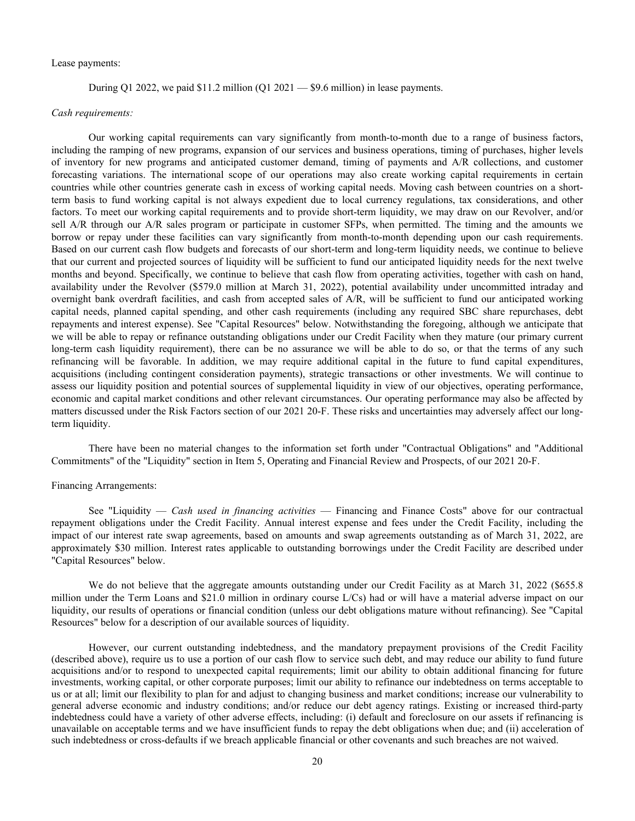### Lease payments:

During Q1 2022, we paid  $$11.2$  million (Q1 2021 — \$9.6 million) in lease payments.

### *Cash requirements:*

Our working capital requirements can vary significantly from month-to-month due to a range of business factors, including the ramping of new programs, expansion of our services and business operations, timing of purchases, higher levels of inventory for new programs and anticipated customer demand, timing of payments and A/R collections, and customer forecasting variations. The international scope of our operations may also create working capital requirements in certain countries while other countries generate cash in excess of working capital needs. Moving cash between countries on a shortterm basis to fund working capital is not always expedient due to local currency regulations, tax considerations, and other factors. To meet our working capital requirements and to provide short-term liquidity, we may draw on our Revolver, and/or sell A/R through our A/R sales program or participate in customer SFPs, when permitted. The timing and the amounts we borrow or repay under these facilities can vary significantly from month-to-month depending upon our cash requirements. Based on our current cash flow budgets and forecasts of our short-term and long-term liquidity needs, we continue to believe that our current and projected sources of liquidity will be sufficient to fund our anticipated liquidity needs for the next twelve months and beyond. Specifically, we continue to believe that cash flow from operating activities, together with cash on hand, availability under the Revolver (\$579.0 million at March 31, 2022), potential availability under uncommitted intraday and overnight bank overdraft facilities, and cash from accepted sales of A/R, will be sufficient to fund our anticipated working capital needs, planned capital spending, and other cash requirements (including any required SBC share repurchases, debt repayments and interest expense). See "Capital Resources" below. Notwithstanding the foregoing, although we anticipate that we will be able to repay or refinance outstanding obligations under our Credit Facility when they mature (our primary current long-term cash liquidity requirement), there can be no assurance we will be able to do so, or that the terms of any such refinancing will be favorable. In addition, we may require additional capital in the future to fund capital expenditures, acquisitions (including contingent consideration payments), strategic transactions or other investments. We will continue to assess our liquidity position and potential sources of supplemental liquidity in view of our objectives, operating performance, economic and capital market conditions and other relevant circumstances. Our operating performance may also be affected by matters discussed under the Risk Factors section of our 2021 20-F. These risks and uncertainties may adversely affect our longterm liquidity.

There have been no material changes to the information set forth under "Contractual Obligations" and "Additional Commitments" of the "Liquidity" section in Item 5, Operating and Financial Review and Prospects, of our 2021 20-F.

## Financing Arrangements:

 See "Liquidity — *Cash used in financing activities* — Financing and Finance Costs" above for our contractual repayment obligations under the Credit Facility. Annual interest expense and fees under the Credit Facility, including the impact of our interest rate swap agreements, based on amounts and swap agreements outstanding as of March 31, 2022, are approximately \$30 million. Interest rates applicable to outstanding borrowings under the Credit Facility are described under "Capital Resources" below.

We do not believe that the aggregate amounts outstanding under our Credit Facility as at March 31, 2022 (\$655.8 million under the Term Loans and \$21.0 million in ordinary course L/Cs) had or will have a material adverse impact on our liquidity, our results of operations or financial condition (unless our debt obligations mature without refinancing). See "Capital Resources" below for a description of our available sources of liquidity.

However, our current outstanding indebtedness, and the mandatory prepayment provisions of the Credit Facility (described above), require us to use a portion of our cash flow to service such debt, and may reduce our ability to fund future acquisitions and/or to respond to unexpected capital requirements; limit our ability to obtain additional financing for future investments, working capital, or other corporate purposes; limit our ability to refinance our indebtedness on terms acceptable to us or at all; limit our flexibility to plan for and adjust to changing business and market conditions; increase our vulnerability to general adverse economic and industry conditions; and/or reduce our debt agency ratings. Existing or increased third-party indebtedness could have a variety of other adverse effects, including: (i) default and foreclosure on our assets if refinancing is unavailable on acceptable terms and we have insufficient funds to repay the debt obligations when due; and (ii) acceleration of such indebtedness or cross-defaults if we breach applicable financial or other covenants and such breaches are not waived.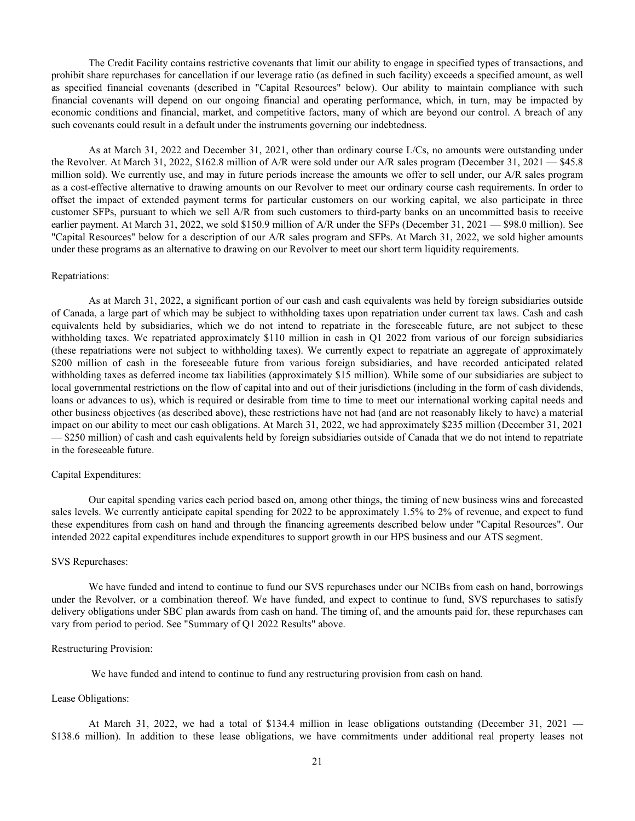The Credit Facility contains restrictive covenants that limit our ability to engage in specified types of transactions, and prohibit share repurchases for cancellation if our leverage ratio (as defined in such facility) exceeds a specified amount, as well as specified financial covenants (described in "Capital Resources" below). Our ability to maintain compliance with such financial covenants will depend on our ongoing financial and operating performance, which, in turn, may be impacted by economic conditions and financial, market, and competitive factors, many of which are beyond our control. A breach of any such covenants could result in a default under the instruments governing our indebtedness.

As at March 31, 2022 and December 31, 2021, other than ordinary course L/Cs, no amounts were outstanding under the Revolver. At March 31, 2022, \$162.8 million of A/R were sold under our A/R sales program (December 31, 2021 — \$45.8 million sold). We currently use, and may in future periods increase the amounts we offer to sell under, our A/R sales program as a cost-effective alternative to drawing amounts on our Revolver to meet our ordinary course cash requirements. In order to offset the impact of extended payment terms for particular customers on our working capital, we also participate in three customer SFPs, pursuant to which we sell A/R from such customers to third-party banks on an uncommitted basis to receive earlier payment. At March 31, 2022, we sold \$150.9 million of A/R under the SFPs (December 31, 2021 — \$98.0 million). See "Capital Resources" below for a description of our A/R sales program and SFPs. At March 31, 2022, we sold higher amounts under these programs as an alternative to drawing on our Revolver to meet our short term liquidity requirements.

### Repatriations:

As at March 31, 2022, a significant portion of our cash and cash equivalents was held by foreign subsidiaries outside of Canada, a large part of which may be subject to withholding taxes upon repatriation under current tax laws. Cash and cash equivalents held by subsidiaries, which we do not intend to repatriate in the foreseeable future, are not subject to these withholding taxes. We repatriated approximately \$110 million in cash in Q1 2022 from various of our foreign subsidiaries (these repatriations were not subject to withholding taxes). We currently expect to repatriate an aggregate of approximately \$200 million of cash in the foreseeable future from various foreign subsidiaries, and have recorded anticipated related withholding taxes as deferred income tax liabilities (approximately \$15 million). While some of our subsidiaries are subject to local governmental restrictions on the flow of capital into and out of their jurisdictions (including in the form of cash dividends, loans or advances to us), which is required or desirable from time to time to meet our international working capital needs and other business objectives (as described above), these restrictions have not had (and are not reasonably likely to have) a material impact on our ability to meet our cash obligations. At March 31, 2022, we had approximately \$235 million (December 31, 2021 — \$250 million) of cash and cash equivalents held by foreign subsidiaries outside of Canada that we do not intend to repatriate in the foreseeable future.

### Capital Expenditures:

Our capital spending varies each period based on, among other things, the timing of new business wins and forecasted sales levels. We currently anticipate capital spending for 2022 to be approximately 1.5% to 2% of revenue, and expect to fund these expenditures from cash on hand and through the financing agreements described below under "Capital Resources". Our intended 2022 capital expenditures include expenditures to support growth in our HPS business and our ATS segment.

#### SVS Repurchases:

We have funded and intend to continue to fund our SVS repurchases under our NCIBs from cash on hand, borrowings under the Revolver, or a combination thereof. We have funded, and expect to continue to fund, SVS repurchases to satisfy delivery obligations under SBC plan awards from cash on hand. The timing of, and the amounts paid for, these repurchases can vary from period to period. See "Summary of Q1 2022 Results" above.

## Restructuring Provision:

We have funded and intend to continue to fund any restructuring provision from cash on hand.

### Lease Obligations:

At March 31, 2022, we had a total of \$134.4 million in lease obligations outstanding (December 31, 2021 — \$138.6 million). In addition to these lease obligations, we have commitments under additional real property leases not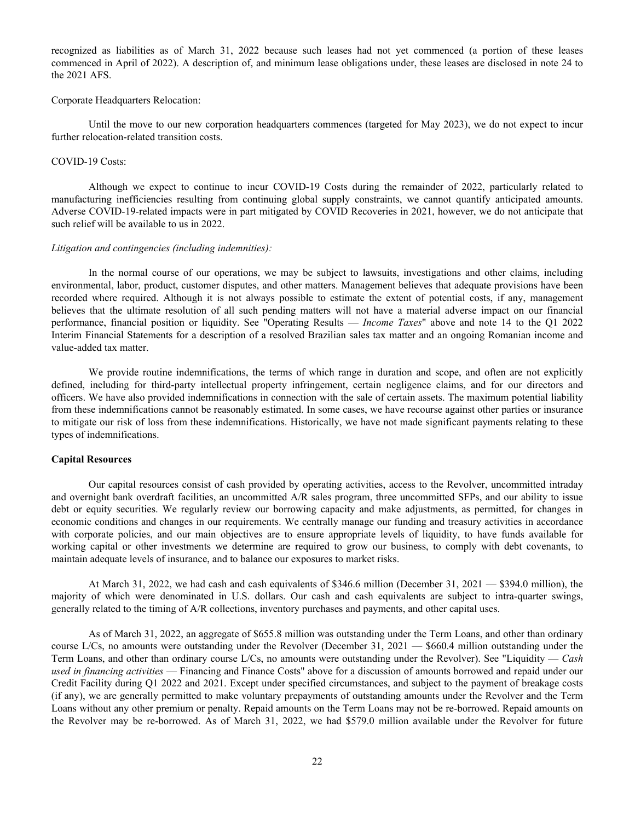recognized as liabilities as of March 31, 2022 because such leases had not yet commenced (a portion of these leases commenced in April of 2022). A description of, and minimum lease obligations under, these leases are disclosed in note 24 to the 2021 AFS.

#### Corporate Headquarters Relocation:

Until the move to our new corporation headquarters commences (targeted for May 2023), we do not expect to incur further relocation-related transition costs.

#### COVID-19 Costs:

Although we expect to continue to incur COVID-19 Costs during the remainder of 2022, particularly related to manufacturing inefficiencies resulting from continuing global supply constraints, we cannot quantify anticipated amounts. Adverse COVID-19-related impacts were in part mitigated by COVID Recoveries in 2021, however, we do not anticipate that such relief will be available to us in 2022.

#### *Litigation and contingencies (including indemnities):*

In the normal course of our operations, we may be subject to lawsuits, investigations and other claims, including environmental, labor, product, customer disputes, and other matters. Management believes that adequate provisions have been recorded where required. Although it is not always possible to estimate the extent of potential costs, if any, management believes that the ultimate resolution of all such pending matters will not have a material adverse impact on our financial performance, financial position or liquidity. See "Operating Results — *Income Taxes*" above and note 14 to the Q1 2022 Interim Financial Statements for a description of a resolved Brazilian sales tax matter and an ongoing Romanian income and value-added tax matter.

We provide routine indemnifications, the terms of which range in duration and scope, and often are not explicitly defined, including for third-party intellectual property infringement, certain negligence claims, and for our directors and officers. We have also provided indemnifications in connection with the sale of certain assets. The maximum potential liability from these indemnifications cannot be reasonably estimated. In some cases, we have recourse against other parties or insurance to mitigate our risk of loss from these indemnifications. Historically, we have not made significant payments relating to these types of indemnifications.

#### **Capital Resources**

Our capital resources consist of cash provided by operating activities, access to the Revolver, uncommitted intraday and overnight bank overdraft facilities, an uncommitted A/R sales program, three uncommitted SFPs, and our ability to issue debt or equity securities. We regularly review our borrowing capacity and make adjustments, as permitted, for changes in economic conditions and changes in our requirements. We centrally manage our funding and treasury activities in accordance with corporate policies, and our main objectives are to ensure appropriate levels of liquidity, to have funds available for working capital or other investments we determine are required to grow our business, to comply with debt covenants, to maintain adequate levels of insurance, and to balance our exposures to market risks.

At March 31, 2022, we had cash and cash equivalents of \$346.6 million (December 31, 2021 — \$394.0 million), the majority of which were denominated in U.S. dollars. Our cash and cash equivalents are subject to intra-quarter swings, generally related to the timing of A/R collections, inventory purchases and payments, and other capital uses.

 As of March 31, 2022, an aggregate of \$655.8 million was outstanding under the Term Loans, and other than ordinary course L/Cs, no amounts were outstanding under the Revolver (December 31, 2021 — \$660.4 million outstanding under the Term Loans, and other than ordinary course L/Cs, no amounts were outstanding under the Revolver). See "Liquidity — *Cash used in financing activities* — Financing and Finance Costs" above for a discussion of amounts borrowed and repaid under our Credit Facility during Q1 2022 and 2021. Except under specified circumstances, and subject to the payment of breakage costs (if any), we are generally permitted to make voluntary prepayments of outstanding amounts under the Revolver and the Term Loans without any other premium or penalty. Repaid amounts on the Term Loans may not be re-borrowed. Repaid amounts on the Revolver may be re-borrowed. As of March 31, 2022, we had \$579.0 million available under the Revolver for future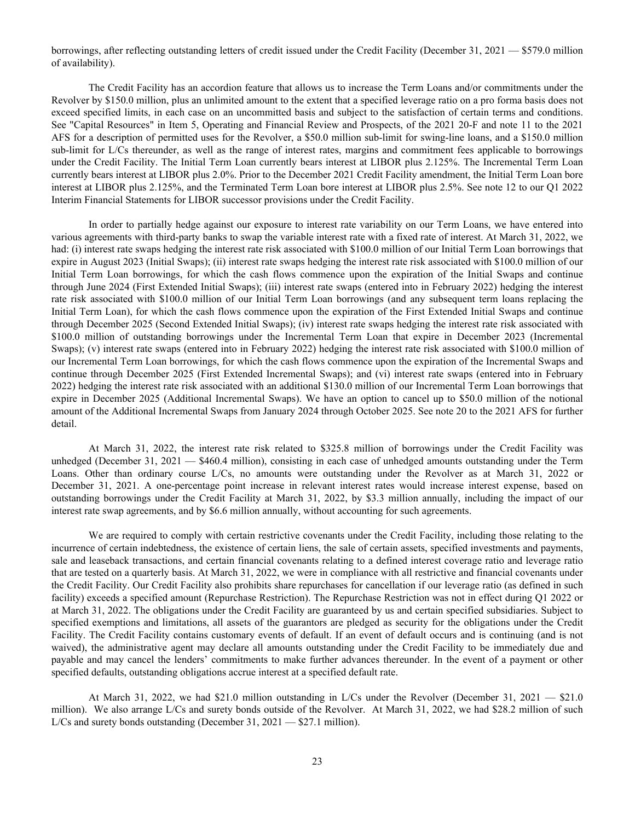borrowings, after reflecting outstanding letters of credit issued under the Credit Facility (December 31, 2021 — \$579.0 million of availability).

 The Credit Facility has an accordion feature that allows us to increase the Term Loans and/or commitments under the Revolver by \$150.0 million, plus an unlimited amount to the extent that a specified leverage ratio on a pro forma basis does not exceed specified limits, in each case on an uncommitted basis and subject to the satisfaction of certain terms and conditions. See "Capital Resources" in Item 5, Operating and Financial Review and Prospects, of the 2021 20-F and note 11 to the 2021 AFS for a description of permitted uses for the Revolver, a \$50.0 million sub-limit for swing-line loans, and a \$150.0 million sub-limit for L/Cs thereunder, as well as the range of interest rates, margins and commitment fees applicable to borrowings under the Credit Facility. The Initial Term Loan currently bears interest at LIBOR plus 2.125%. The Incremental Term Loan currently bears interest at LIBOR plus 2.0%. Prior to the December 2021 Credit Facility amendment, the Initial Term Loan bore interest at LIBOR plus 2.125%, and the Terminated Term Loan bore interest at LIBOR plus 2.5%. See note 12 to our Q1 2022 Interim Financial Statements for LIBOR successor provisions under the Credit Facility.

 In order to partially hedge against our exposure to interest rate variability on our Term Loans, we have entered into various agreements with third-party banks to swap the variable interest rate with a fixed rate of interest. At March 31, 2022, we had: (i) interest rate swaps hedging the interest rate risk associated with \$100.0 million of our Initial Term Loan borrowings that expire in August 2023 (Initial Swaps); (ii) interest rate swaps hedging the interest rate risk associated with \$100.0 million of our Initial Term Loan borrowings, for which the cash flows commence upon the expiration of the Initial Swaps and continue through June 2024 (First Extended Initial Swaps); (iii) interest rate swaps (entered into in February 2022) hedging the interest rate risk associated with \$100.0 million of our Initial Term Loan borrowings (and any subsequent term loans replacing the Initial Term Loan), for which the cash flows commence upon the expiration of the First Extended Initial Swaps and continue through December 2025 (Second Extended Initial Swaps); (iv) interest rate swaps hedging the interest rate risk associated with \$100.0 million of outstanding borrowings under the Incremental Term Loan that expire in December 2023 (Incremental Swaps); (v) interest rate swaps (entered into in February 2022) hedging the interest rate risk associated with \$100.0 million of our Incremental Term Loan borrowings, for which the cash flows commence upon the expiration of the Incremental Swaps and continue through December 2025 (First Extended Incremental Swaps); and (vi) interest rate swaps (entered into in February 2022) hedging the interest rate risk associated with an additional \$130.0 million of our Incremental Term Loan borrowings that expire in December 2025 (Additional Incremental Swaps). We have an option to cancel up to \$50.0 million of the notional amount of the Additional Incremental Swaps from January 2024 through October 2025. See note 20 to the 2021 AFS for further detail.

At March 31, 2022, the interest rate risk related to \$325.8 million of borrowings under the Credit Facility was unhedged (December 31, 2021 — \$460.4 million), consisting in each case of unhedged amounts outstanding under the Term Loans. Other than ordinary course L/Cs, no amounts were outstanding under the Revolver as at March 31, 2022 or December 31, 2021. A one-percentage point increase in relevant interest rates would increase interest expense, based on outstanding borrowings under the Credit Facility at March 31, 2022, by \$3.3 million annually, including the impact of our interest rate swap agreements, and by \$6.6 million annually, without accounting for such agreements.

 We are required to comply with certain restrictive covenants under the Credit Facility, including those relating to the incurrence of certain indebtedness, the existence of certain liens, the sale of certain assets, specified investments and payments, sale and leaseback transactions, and certain financial covenants relating to a defined interest coverage ratio and leverage ratio that are tested on a quarterly basis. At March 31, 2022, we were in compliance with all restrictive and financial covenants under the Credit Facility. Our Credit Facility also prohibits share repurchases for cancellation if our leverage ratio (as defined in such facility) exceeds a specified amount (Repurchase Restriction). The Repurchase Restriction was not in effect during Q1 2022 or at March 31, 2022. The obligations under the Credit Facility are guaranteed by us and certain specified subsidiaries. Subject to specified exemptions and limitations, all assets of the guarantors are pledged as security for the obligations under the Credit Facility. The Credit Facility contains customary events of default. If an event of default occurs and is continuing (and is not waived), the administrative agent may declare all amounts outstanding under the Credit Facility to be immediately due and payable and may cancel the lenders' commitments to make further advances thereunder. In the event of a payment or other specified defaults, outstanding obligations accrue interest at a specified default rate.

 At March 31, 2022, we had \$21.0 million outstanding in L/Cs under the Revolver (December 31, 2021 — \$21.0 million). We also arrange L/Cs and surety bonds outside of the Revolver. At March 31, 2022, we had \$28.2 million of such L/Cs and surety bonds outstanding (December 31, 2021 — \$27.1 million).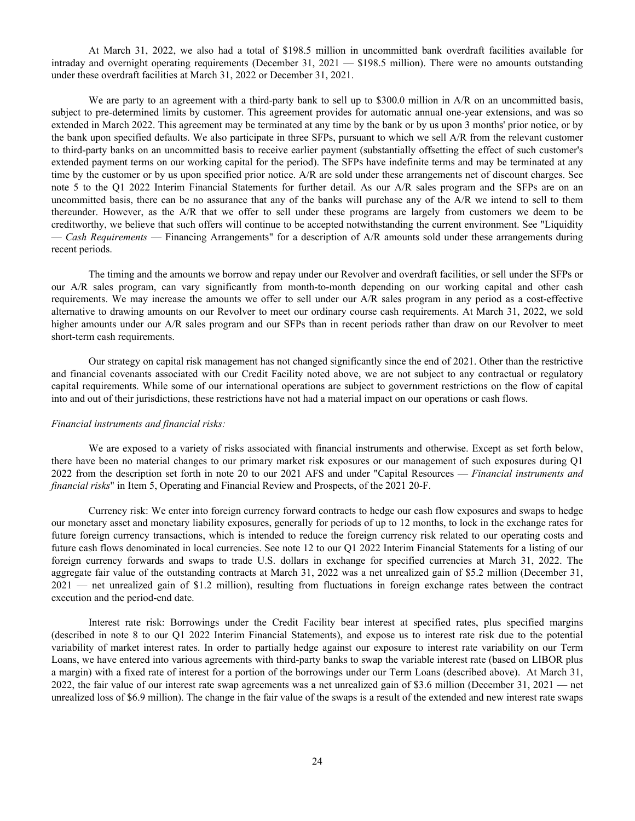At March 31, 2022, we also had a total of \$198.5 million in uncommitted bank overdraft facilities available for intraday and overnight operating requirements (December 31, 2021 — \$198.5 million). There were no amounts outstanding under these overdraft facilities at March 31, 2022 or December 31, 2021.

We are party to an agreement with a third-party bank to sell up to \$300.0 million in A/R on an uncommitted basis, subject to pre-determined limits by customer. This agreement provides for automatic annual one-year extensions, and was so extended in March 2022. This agreement may be terminated at any time by the bank or by us upon 3 months' prior notice, or by the bank upon specified defaults. We also participate in three SFPs, pursuant to which we sell A/R from the relevant customer to third-party banks on an uncommitted basis to receive earlier payment (substantially offsetting the effect of such customer's extended payment terms on our working capital for the period). The SFPs have indefinite terms and may be terminated at any time by the customer or by us upon specified prior notice. A/R are sold under these arrangements net of discount charges. See note 5 to the Q1 2022 Interim Financial Statements for further detail. As our A/R sales program and the SFPs are on an uncommitted basis, there can be no assurance that any of the banks will purchase any of the A/R we intend to sell to them thereunder. However, as the A/R that we offer to sell under these programs are largely from customers we deem to be creditworthy, we believe that such offers will continue to be accepted notwithstanding the current environment. See "Liquidity — *Cash Requirements* — Financing Arrangements" for a description of A/R amounts sold under these arrangements during recent periods.

The timing and the amounts we borrow and repay under our Revolver and overdraft facilities, or sell under the SFPs or our A/R sales program, can vary significantly from month-to-month depending on our working capital and other cash requirements. We may increase the amounts we offer to sell under our A/R sales program in any period as a cost-effective alternative to drawing amounts on our Revolver to meet our ordinary course cash requirements. At March 31, 2022, we sold higher amounts under our A/R sales program and our SFPs than in recent periods rather than draw on our Revolver to meet short-term cash requirements.

 Our strategy on capital risk management has not changed significantly since the end of 2021. Other than the restrictive and financial covenants associated with our Credit Facility noted above, we are not subject to any contractual or regulatory capital requirements. While some of our international operations are subject to government restrictions on the flow of capital into and out of their jurisdictions, these restrictions have not had a material impact on our operations or cash flows.

#### *Financial instruments and financial risks:*

We are exposed to a variety of risks associated with financial instruments and otherwise. Except as set forth below, there have been no material changes to our primary market risk exposures or our management of such exposures during Q1 2022 from the description set forth in note 20 to our 2021 AFS and under "Capital Resources — *Financial instruments and financial risks*" in Item 5, Operating and Financial Review and Prospects, of the 2021 20-F.

Currency risk: We enter into foreign currency forward contracts to hedge our cash flow exposures and swaps to hedge our monetary asset and monetary liability exposures, generally for periods of up to 12 months, to lock in the exchange rates for future foreign currency transactions, which is intended to reduce the foreign currency risk related to our operating costs and future cash flows denominated in local currencies. See note 12 to our Q1 2022 Interim Financial Statements for a listing of our foreign currency forwards and swaps to trade U.S. dollars in exchange for specified currencies at March 31, 2022. The aggregate fair value of the outstanding contracts at March 31, 2022 was a net unrealized gain of \$5.2 million (December 31, 2021 — net unrealized gain of \$1.2 million), resulting from fluctuations in foreign exchange rates between the contract execution and the period-end date.

Interest rate risk: Borrowings under the Credit Facility bear interest at specified rates, plus specified margins (described in note 8 to our Q1 2022 Interim Financial Statements), and expose us to interest rate risk due to the potential variability of market interest rates. In order to partially hedge against our exposure to interest rate variability on our Term Loans, we have entered into various agreements with third-party banks to swap the variable interest rate (based on LIBOR plus a margin) with a fixed rate of interest for a portion of the borrowings under our Term Loans (described above). At March 31, 2022, the fair value of our interest rate swap agreements was a net unrealized gain of \$3.6 million (December 31, 2021 — net unrealized loss of \$6.9 million). The change in the fair value of the swaps is a result of the extended and new interest rate swaps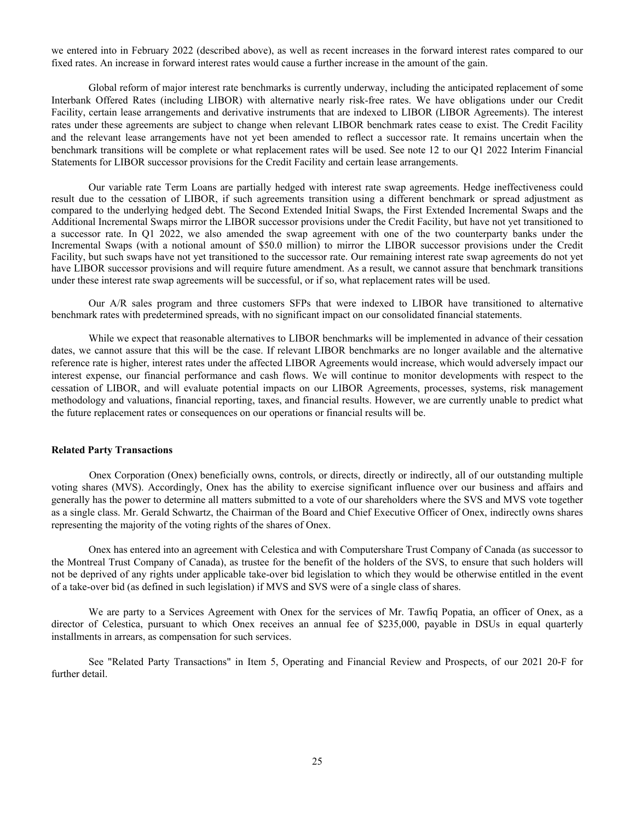we entered into in February 2022 (described above), as well as recent increases in the forward interest rates compared to our fixed rates. An increase in forward interest rates would cause a further increase in the amount of the gain.

Global reform of major interest rate benchmarks is currently underway, including the anticipated replacement of some Interbank Offered Rates (including LIBOR) with alternative nearly risk-free rates. We have obligations under our Credit Facility, certain lease arrangements and derivative instruments that are indexed to LIBOR (LIBOR Agreements). The interest rates under these agreements are subject to change when relevant LIBOR benchmark rates cease to exist. The Credit Facility and the relevant lease arrangements have not yet been amended to reflect a successor rate. It remains uncertain when the benchmark transitions will be complete or what replacement rates will be used. See note 12 to our Q1 2022 Interim Financial Statements for LIBOR successor provisions for the Credit Facility and certain lease arrangements.

Our variable rate Term Loans are partially hedged with interest rate swap agreements. Hedge ineffectiveness could result due to the cessation of LIBOR, if such agreements transition using a different benchmark or spread adjustment as compared to the underlying hedged debt. The Second Extended Initial Swaps, the First Extended Incremental Swaps and the Additional Incremental Swaps mirror the LIBOR successor provisions under the Credit Facility, but have not yet transitioned to a successor rate. In Q1 2022, we also amended the swap agreement with one of the two counterparty banks under the Incremental Swaps (with a notional amount of \$50.0 million) to mirror the LIBOR successor provisions under the Credit Facility, but such swaps have not yet transitioned to the successor rate. Our remaining interest rate swap agreements do not yet have LIBOR successor provisions and will require future amendment. As a result, we cannot assure that benchmark transitions under these interest rate swap agreements will be successful, or if so, what replacement rates will be used.

Our A/R sales program and three customers SFPs that were indexed to LIBOR have transitioned to alternative benchmark rates with predetermined spreads, with no significant impact on our consolidated financial statements.

While we expect that reasonable alternatives to LIBOR benchmarks will be implemented in advance of their cessation dates, we cannot assure that this will be the case. If relevant LIBOR benchmarks are no longer available and the alternative reference rate is higher, interest rates under the affected LIBOR Agreements would increase, which would adversely impact our interest expense, our financial performance and cash flows. We will continue to monitor developments with respect to the cessation of LIBOR, and will evaluate potential impacts on our LIBOR Agreements, processes, systems, risk management methodology and valuations, financial reporting, taxes, and financial results. However, we are currently unable to predict what the future replacement rates or consequences on our operations or financial results will be.

## **Related Party Transactions**

Onex Corporation (Onex) beneficially owns, controls, or directs, directly or indirectly, all of our outstanding multiple voting shares (MVS). Accordingly, Onex has the ability to exercise significant influence over our business and affairs and generally has the power to determine all matters submitted to a vote of our shareholders where the SVS and MVS vote together as a single class. Mr. Gerald Schwartz, the Chairman of the Board and Chief Executive Officer of Onex, indirectly owns shares representing the majority of the voting rights of the shares of Onex.

 Onex has entered into an agreement with Celestica and with Computershare Trust Company of Canada (as successor to the Montreal Trust Company of Canada), as trustee for the benefit of the holders of the SVS, to ensure that such holders will not be deprived of any rights under applicable take-over bid legislation to which they would be otherwise entitled in the event of a take-over bid (as defined in such legislation) if MVS and SVS were of a single class of shares.

 We are party to a Services Agreement with Onex for the services of Mr. Tawfiq Popatia, an officer of Onex, as a director of Celestica, pursuant to which Onex receives an annual fee of \$235,000, payable in DSUs in equal quarterly installments in arrears, as compensation for such services.

 See "Related Party Transactions" in Item 5, Operating and Financial Review and Prospects, of our 2021 20-F for further detail.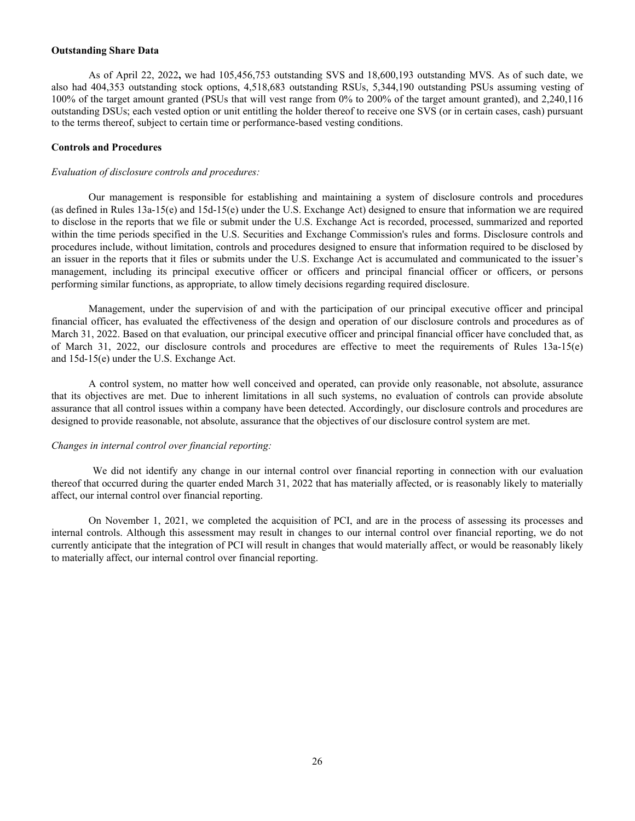### **Outstanding Share Data**

As of April 22, 2022**,** we had 105,456,753 outstanding SVS and 18,600,193 outstanding MVS. As of such date, we also had 404,353 outstanding stock options, 4,518,683 outstanding RSUs, 5,344,190 outstanding PSUs assuming vesting of 100% of the target amount granted (PSUs that will vest range from 0% to 200% of the target amount granted), and 2,240,116 outstanding DSUs; each vested option or unit entitling the holder thereof to receive one SVS (or in certain cases, cash) pursuant to the terms thereof, subject to certain time or performance-based vesting conditions.

#### **Controls and Procedures**

#### *Evaluation of disclosure controls and procedures:*

Our management is responsible for establishing and maintaining a system of disclosure controls and procedures (as defined in Rules 13a-15(e) and 15d-15(e) under the U.S. Exchange Act) designed to ensure that information we are required to disclose in the reports that we file or submit under the U.S. Exchange Act is recorded, processed, summarized and reported within the time periods specified in the U.S. Securities and Exchange Commission's rules and forms. Disclosure controls and procedures include, without limitation, controls and procedures designed to ensure that information required to be disclosed by an issuer in the reports that it files or submits under the U.S. Exchange Act is accumulated and communicated to the issuer's management, including its principal executive officer or officers and principal financial officer or officers, or persons performing similar functions, as appropriate, to allow timely decisions regarding required disclosure.

Management, under the supervision of and with the participation of our principal executive officer and principal financial officer, has evaluated the effectiveness of the design and operation of our disclosure controls and procedures as of March 31, 2022. Based on that evaluation, our principal executive officer and principal financial officer have concluded that, as of March 31, 2022, our disclosure controls and procedures are effective to meet the requirements of Rules 13a-15(e) and 15d-15(e) under the U.S. Exchange Act.

A control system, no matter how well conceived and operated, can provide only reasonable, not absolute, assurance that its objectives are met. Due to inherent limitations in all such systems, no evaluation of controls can provide absolute assurance that all control issues within a company have been detected. Accordingly, our disclosure controls and procedures are designed to provide reasonable, not absolute, assurance that the objectives of our disclosure control system are met.

#### *Changes in internal control over financial reporting:*

 We did not identify any change in our internal control over financial reporting in connection with our evaluation thereof that occurred during the quarter ended March 31, 2022 that has materially affected, or is reasonably likely to materially affect, our internal control over financial reporting.

On November 1, 2021, we completed the acquisition of PCI, and are in the process of assessing its processes and internal controls. Although this assessment may result in changes to our internal control over financial reporting, we do not currently anticipate that the integration of PCI will result in changes that would materially affect, or would be reasonably likely to materially affect, our internal control over financial reporting.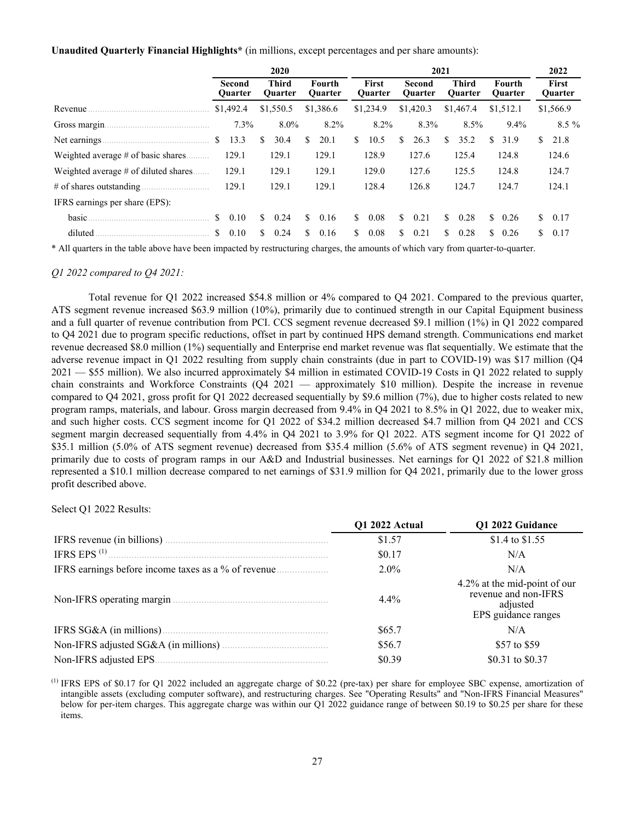**Unaudited Quarterly Financial Highlights\*** (in millions, except percentages and per share amounts):

|                                      |                   | 2020 |               |                                |    |                          |    |                                | 2021 |                          |    |                                |    |                          |     |                         |  |  |  |  |  |  |  |  |  |
|--------------------------------------|-------------------|------|---------------|--------------------------------|----|--------------------------|----|--------------------------------|------|--------------------------|----|--------------------------------|----|--------------------------|-----|-------------------------|--|--|--|--|--|--|--|--|--|
|                                      | Second<br>Quarter |      |               | <b>Third</b><br><b>Ouarter</b> |    | Fourth<br><b>Ouarter</b> |    | <b>First</b><br><b>Ouarter</b> |      | Second<br><b>Ouarter</b> |    | <b>Third</b><br><b>Ouarter</b> |    | Fourth<br><b>Ouarter</b> |     | <b>First</b><br>Quarter |  |  |  |  |  |  |  |  |  |
| Revenue                              | \$1,492.4         |      |               | \$1,550.5                      |    | \$1,386.6                |    | \$1,234.9                      |      | \$1,420.3                |    | \$1,467.4                      |    | \$1,512.1                |     | \$1,566.9               |  |  |  |  |  |  |  |  |  |
|                                      | 7.3%              |      |               | $8.0\%$                        |    | 8.2%                     |    | 8.2%                           |      | 8.3%                     |    | 8.5%                           |    | 9.4%                     |     | $8.5\%$                 |  |  |  |  |  |  |  |  |  |
| Net earnings.                        | S.<br>13.3        |      | S             | 30.4                           | S. | 20.1                     | S. | 10.5                           | \$   | 26.3                     | S. | 35.2                           | S. | 31.9                     | S.  | 21.8                    |  |  |  |  |  |  |  |  |  |
| Weighted average # of basic shares   | 129.1             |      |               | 129.1                          |    | 129.1                    |    | 128.9                          |      | 127.6                    |    | 125.4                          |    | 124.8                    |     | 124.6                   |  |  |  |  |  |  |  |  |  |
| Weighted average # of diluted shares | 129.1             |      |               | 129.1                          |    | 129.1                    |    | 129.0                          |      | 127.6                    |    | 125.5                          |    | 124.8                    |     | 124.7                   |  |  |  |  |  |  |  |  |  |
| # of shares outstanding $\ldots$     | 129.1             |      |               | 129.1                          |    | 129.1                    |    | 128.4                          |      | 126.8                    |    | 124.7                          |    | 124.7                    |     | 124.1                   |  |  |  |  |  |  |  |  |  |
| IFRS earnings per share (EPS):       |                   |      |               |                                |    |                          |    |                                |      |                          |    |                                |    |                          |     |                         |  |  |  |  |  |  |  |  |  |
| basic.                               | S.<br>0.10        |      | <sup>\$</sup> | 0.24                           | S. | 0.16                     | S. | 0.08                           | S.   | 0.21                     | S. | 0.28                           | \$ | 0.26                     | S.  | 0.17                    |  |  |  |  |  |  |  |  |  |
| diluted                              | 0.10<br>\$        |      | S.            | 0.24                           | S. | 0.16                     | S. | 0.08                           | S.   | 0.21                     | S. | 0.28                           | S. | 0.26                     | \$. | 0.17                    |  |  |  |  |  |  |  |  |  |

\* All quarters in the table above have been impacted by restructuring charges, the amounts of which vary from quarter-to-quarter.

### *Q1 2022 compared to Q4 2021:*

 Total revenue for Q1 2022 increased \$54.8 million or 4% compared to Q4 2021. Compared to the previous quarter, ATS segment revenue increased \$63.9 million (10%), primarily due to continued strength in our Capital Equipment business and a full quarter of revenue contribution from PCI. CCS segment revenue decreased \$9.1 million (1%) in Q1 2022 compared to Q4 2021 due to program specific reductions, offset in part by continued HPS demand strength. Communications end market revenue decreased \$8.0 million (1%) sequentially and Enterprise end market revenue was flat sequentially. We estimate that the adverse revenue impact in Q1 2022 resulting from supply chain constraints (due in part to COVID-19) was \$17 million (Q4 2021 — \$55 million). We also incurred approximately \$4 million in estimated COVID-19 Costs in Q1 2022 related to supply chain constraints and Workforce Constraints (Q4 2021 — approximately \$10 million). Despite the increase in revenue compared to Q4 2021, gross profit for Q1 2022 decreased sequentially by \$9.6 million (7%), due to higher costs related to new program ramps, materials, and labour. Gross margin decreased from 9.4% in Q4 2021 to 8.5% in Q1 2022, due to weaker mix, and such higher costs. CCS segment income for Q1 2022 of \$34.2 million decreased \$4.7 million from Q4 2021 and CCS segment margin decreased sequentially from 4.4% in Q4 2021 to 3.9% for Q1 2022. ATS segment income for Q1 2022 of \$35.1 million (5.0% of ATS segment revenue) decreased from \$35.4 million (5.6% of ATS segment revenue) in Q4 2021, primarily due to costs of program ramps in our A&D and Industrial businesses. Net earnings for Q1 2022 of \$21.8 million represented a \$10.1 million decrease compared to net earnings of \$31.9 million for Q4 2021, primarily due to the lower gross profit described above.

Select Q1 2022 Results:

|                   | Q1 2022 Actual | Q1 2022 Guidance                                                                        |
|-------------------|----------------|-----------------------------------------------------------------------------------------|
|                   | \$1.57         | \$1.4 to \$1.55                                                                         |
| IFRS EPS $^{(1)}$ | \$0.17         | N/A                                                                                     |
|                   | $2.0\%$        | N/A                                                                                     |
|                   | $4.4\%$        | 4.2% at the mid-point of our<br>revenue and non-IFRS<br>adjusted<br>EPS guidance ranges |
|                   | \$65.7         | N/A                                                                                     |
|                   | \$56.7         | \$57 to \$59                                                                            |
|                   | \$0.39         | \$0.31 to \$0.37                                                                        |

 $^{(1)}$  IFRS EPS of \$0.17 for Q1 2022 included an aggregate charge of \$0.22 (pre-tax) per share for employee SBC expense, amortization of intangible assets (excluding computer software), and restructuring charges. See "Operating Results" and "Non-IFRS Financial Measures" below for per-item charges. This aggregate charge was within our Q1 2022 guidance range of between \$0.19 to \$0.25 per share for these items.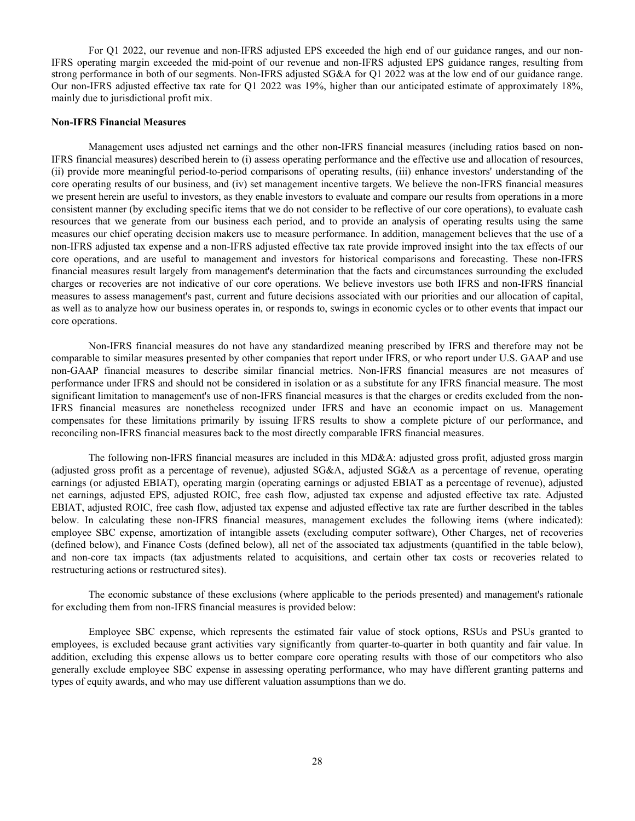For Q1 2022, our revenue and non-IFRS adjusted EPS exceeded the high end of our guidance ranges, and our non-IFRS operating margin exceeded the mid-point of our revenue and non-IFRS adjusted EPS guidance ranges, resulting from strong performance in both of our segments. Non-IFRS adjusted SG&A for Q1 2022 was at the low end of our guidance range. Our non-IFRS adjusted effective tax rate for Q1 2022 was 19%, higher than our anticipated estimate of approximately 18%, mainly due to jurisdictional profit mix.

#### **Non-IFRS Financial Measures**

Management uses adjusted net earnings and the other non-IFRS financial measures (including ratios based on non-IFRS financial measures) described herein to (i) assess operating performance and the effective use and allocation of resources, (ii) provide more meaningful period-to-period comparisons of operating results, (iii) enhance investors' understanding of the core operating results of our business, and (iv) set management incentive targets. We believe the non-IFRS financial measures we present herein are useful to investors, as they enable investors to evaluate and compare our results from operations in a more consistent manner (by excluding specific items that we do not consider to be reflective of our core operations), to evaluate cash resources that we generate from our business each period, and to provide an analysis of operating results using the same measures our chief operating decision makers use to measure performance. In addition, management believes that the use of a non-IFRS adjusted tax expense and a non-IFRS adjusted effective tax rate provide improved insight into the tax effects of our core operations, and are useful to management and investors for historical comparisons and forecasting. These non-IFRS financial measures result largely from management's determination that the facts and circumstances surrounding the excluded charges or recoveries are not indicative of our core operations. We believe investors use both IFRS and non-IFRS financial measures to assess management's past, current and future decisions associated with our priorities and our allocation of capital, as well as to analyze how our business operates in, or responds to, swings in economic cycles or to other events that impact our core operations.

Non-IFRS financial measures do not have any standardized meaning prescribed by IFRS and therefore may not be comparable to similar measures presented by other companies that report under IFRS, or who report under U.S. GAAP and use non-GAAP financial measures to describe similar financial metrics. Non-IFRS financial measures are not measures of performance under IFRS and should not be considered in isolation or as a substitute for any IFRS financial measure. The most significant limitation to management's use of non-IFRS financial measures is that the charges or credits excluded from the non-IFRS financial measures are nonetheless recognized under IFRS and have an economic impact on us. Management compensates for these limitations primarily by issuing IFRS results to show a complete picture of our performance, and reconciling non-IFRS financial measures back to the most directly comparable IFRS financial measures.

 The following non-IFRS financial measures are included in this MD&A: adjusted gross profit, adjusted gross margin (adjusted gross profit as a percentage of revenue), adjusted SG&A, adjusted SG&A as a percentage of revenue, operating earnings (or adjusted EBIAT), operating margin (operating earnings or adjusted EBIAT as a percentage of revenue), adjusted net earnings, adjusted EPS, adjusted ROIC, free cash flow, adjusted tax expense and adjusted effective tax rate. Adjusted EBIAT, adjusted ROIC, free cash flow, adjusted tax expense and adjusted effective tax rate are further described in the tables below. In calculating these non-IFRS financial measures, management excludes the following items (where indicated): employee SBC expense, amortization of intangible assets (excluding computer software), Other Charges, net of recoveries (defined below), and Finance Costs (defined below), all net of the associated tax adjustments (quantified in the table below), and non-core tax impacts (tax adjustments related to acquisitions, and certain other tax costs or recoveries related to restructuring actions or restructured sites).

 The economic substance of these exclusions (where applicable to the periods presented) and management's rationale for excluding them from non-IFRS financial measures is provided below:

Employee SBC expense, which represents the estimated fair value of stock options, RSUs and PSUs granted to employees, is excluded because grant activities vary significantly from quarter-to-quarter in both quantity and fair value. In addition, excluding this expense allows us to better compare core operating results with those of our competitors who also generally exclude employee SBC expense in assessing operating performance, who may have different granting patterns and types of equity awards, and who may use different valuation assumptions than we do.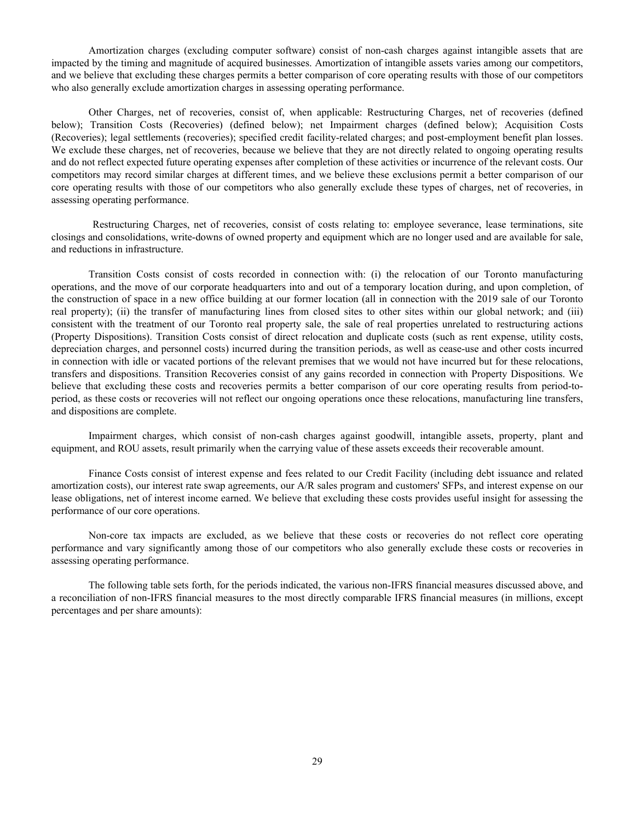Amortization charges (excluding computer software) consist of non-cash charges against intangible assets that are impacted by the timing and magnitude of acquired businesses. Amortization of intangible assets varies among our competitors, and we believe that excluding these charges permits a better comparison of core operating results with those of our competitors who also generally exclude amortization charges in assessing operating performance.

Other Charges, net of recoveries, consist of, when applicable: Restructuring Charges, net of recoveries (defined below); Transition Costs (Recoveries) (defined below); net Impairment charges (defined below); Acquisition Costs (Recoveries); legal settlements (recoveries); specified credit facility-related charges; and post-employment benefit plan losses. We exclude these charges, net of recoveries, because we believe that they are not directly related to ongoing operating results and do not reflect expected future operating expenses after completion of these activities or incurrence of the relevant costs. Our competitors may record similar charges at different times, and we believe these exclusions permit a better comparison of our core operating results with those of our competitors who also generally exclude these types of charges, net of recoveries, in assessing operating performance.

 Restructuring Charges, net of recoveries, consist of costs relating to: employee severance, lease terminations, site closings and consolidations, write-downs of owned property and equipment which are no longer used and are available for sale, and reductions in infrastructure.

 Transition Costs consist of costs recorded in connection with: (i) the relocation of our Toronto manufacturing operations, and the move of our corporate headquarters into and out of a temporary location during, and upon completion, of the construction of space in a new office building at our former location (all in connection with the 2019 sale of our Toronto real property); (ii) the transfer of manufacturing lines from closed sites to other sites within our global network; and (iii) consistent with the treatment of our Toronto real property sale, the sale of real properties unrelated to restructuring actions (Property Dispositions). Transition Costs consist of direct relocation and duplicate costs (such as rent expense, utility costs, depreciation charges, and personnel costs) incurred during the transition periods, as well as cease-use and other costs incurred in connection with idle or vacated portions of the relevant premises that we would not have incurred but for these relocations, transfers and dispositions. Transition Recoveries consist of any gains recorded in connection with Property Dispositions. We believe that excluding these costs and recoveries permits a better comparison of our core operating results from period-toperiod, as these costs or recoveries will not reflect our ongoing operations once these relocations, manufacturing line transfers, and dispositions are complete.

 Impairment charges, which consist of non-cash charges against goodwill, intangible assets, property, plant and equipment, and ROU assets, result primarily when the carrying value of these assets exceeds their recoverable amount.

Finance Costs consist of interest expense and fees related to our Credit Facility (including debt issuance and related amortization costs), our interest rate swap agreements, our A/R sales program and customers' SFPs, and interest expense on our lease obligations, net of interest income earned. We believe that excluding these costs provides useful insight for assessing the performance of our core operations.

Non-core tax impacts are excluded, as we believe that these costs or recoveries do not reflect core operating performance and vary significantly among those of our competitors who also generally exclude these costs or recoveries in assessing operating performance.

The following table sets forth, for the periods indicated, the various non-IFRS financial measures discussed above, and a reconciliation of non-IFRS financial measures to the most directly comparable IFRS financial measures (in millions, except percentages and per share amounts):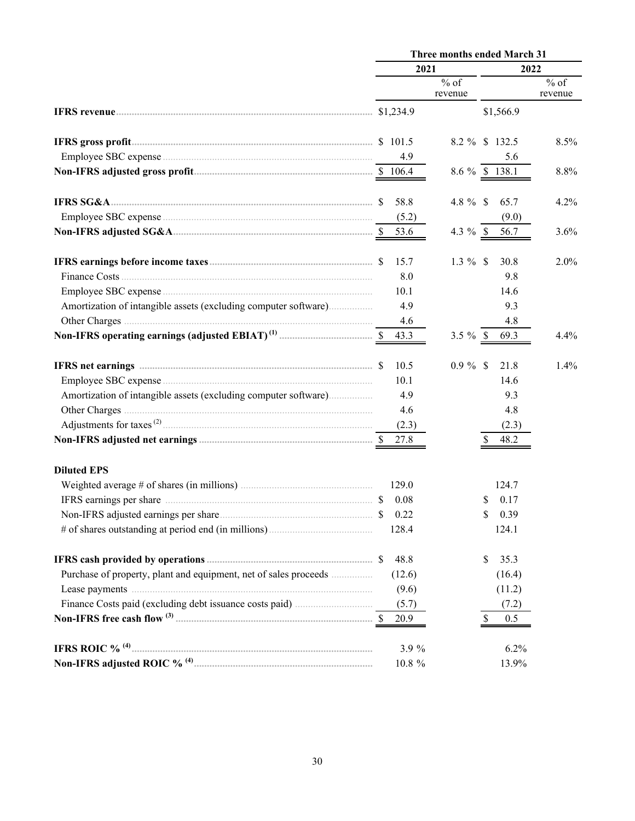|                                                                  |         | Three months ended March 31 |                   |  |  |  |  |  |
|------------------------------------------------------------------|---------|-----------------------------|-------------------|--|--|--|--|--|
|                                                                  | 2021    |                             | 2022              |  |  |  |  |  |
|                                                                  |         | $%$ of<br>revenue           | $%$ of<br>revenue |  |  |  |  |  |
|                                                                  |         | \$1,566.9                   |                   |  |  |  |  |  |
|                                                                  |         | 8.2 % \$ 132.5              | 8.5%              |  |  |  |  |  |
|                                                                  | 4.9     | 5.6                         |                   |  |  |  |  |  |
|                                                                  |         | 8.6 $\%$ \$ 138.1           | 8.8%              |  |  |  |  |  |
|                                                                  | 58.8    | 4.8 $%$ \$<br>65.7          | 4.2%              |  |  |  |  |  |
|                                                                  | (5.2)   | (9.0)                       |                   |  |  |  |  |  |
|                                                                  | 53.6    | 4.3 $%$ \$<br>56.7          | 3.6%              |  |  |  |  |  |
|                                                                  | 15.7    | $1.3 \%$ \$<br>30.8         | 2.0%              |  |  |  |  |  |
|                                                                  | 8.0     | 9.8                         |                   |  |  |  |  |  |
|                                                                  | 10.1    | 14.6                        |                   |  |  |  |  |  |
| Amortization of intangible assets (excluding computer software)  | 4.9     | 9.3                         |                   |  |  |  |  |  |
|                                                                  | 4.6     | 4.8                         |                   |  |  |  |  |  |
|                                                                  | 43.3    | $3.5 \%$ \$<br>69.3         | 4.4%              |  |  |  |  |  |
|                                                                  | 10.5    | $0.9 \%$ \$<br>21.8         | 1.4%              |  |  |  |  |  |
|                                                                  | 10.1    | 14.6                        |                   |  |  |  |  |  |
| Amortization of intangible assets (excluding computer software)  | 4.9     | 9.3                         |                   |  |  |  |  |  |
|                                                                  | 4.6     | 4.8                         |                   |  |  |  |  |  |
|                                                                  | (2.3)   | (2.3)                       |                   |  |  |  |  |  |
|                                                                  | 27.8    | 48.2                        |                   |  |  |  |  |  |
| <b>Diluted EPS</b>                                               |         |                             |                   |  |  |  |  |  |
|                                                                  | 129.0   | 124.7                       |                   |  |  |  |  |  |
|                                                                  | 0.08    | 0.17<br>S                   |                   |  |  |  |  |  |
|                                                                  | \$ 0.22 | \$ 0.39                     |                   |  |  |  |  |  |
|                                                                  | 128.4   | 124.1                       |                   |  |  |  |  |  |
|                                                                  | 48.8    | \$<br>35.3                  |                   |  |  |  |  |  |
| Purchase of property, plant and equipment, net of sales proceeds | (12.6)  | (16.4)                      |                   |  |  |  |  |  |
|                                                                  | (9.6)   | (11.2)                      |                   |  |  |  |  |  |
|                                                                  | (5.7)   | (7.2)                       |                   |  |  |  |  |  |
|                                                                  | 20.9    | \$<br>0.5                   |                   |  |  |  |  |  |
|                                                                  | 3.9 %   | 6.2%                        |                   |  |  |  |  |  |
|                                                                  | 10.8 %  | 13.9%                       |                   |  |  |  |  |  |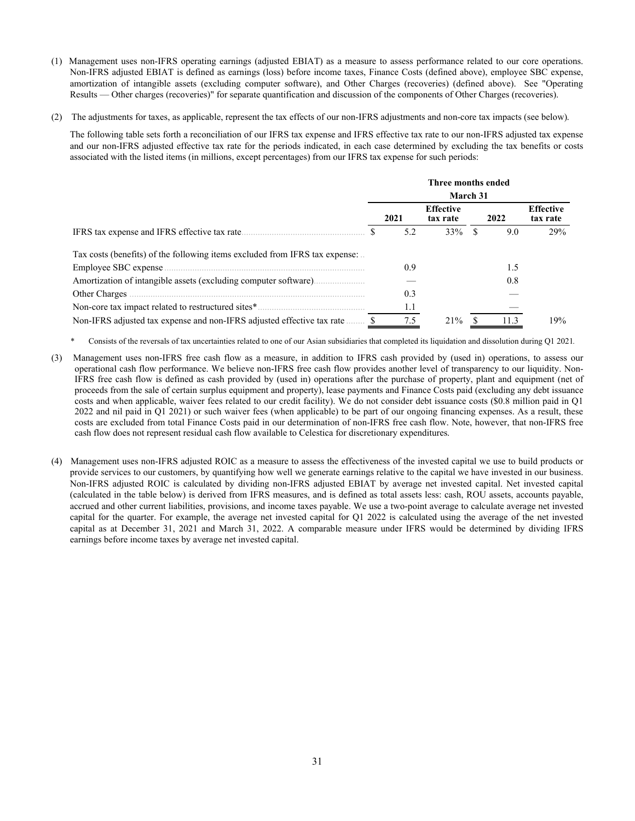- (1) Management uses non-IFRS operating earnings (adjusted EBIAT) as a measure to assess performance related to our core operations. Non-IFRS adjusted EBIAT is defined as earnings (loss) before income taxes, Finance Costs (defined above), employee SBC expense, amortization of intangible assets (excluding computer software), and Other Charges (recoveries) (defined above). See "Operating Results — Other charges (recoveries)" for separate quantification and discussion of the components of Other Charges (recoveries).
- (2) The adjustments for taxes, as applicable, represent the tax effects of our non-IFRS adjustments and non-core tax impacts (see below).

The following table sets forth a reconciliation of our IFRS tax expense and IFRS effective tax rate to our non-IFRS adjusted tax expense and our non-IFRS adjusted effective tax rate for the periods indicated, in each case determined by excluding the tax benefits or costs associated with the listed items (in millions, except percentages) from our IFRS tax expense for such periods:

|                                                                             |          |      | Three months ended           |  |  |      |                              |  |
|-----------------------------------------------------------------------------|----------|------|------------------------------|--|--|------|------------------------------|--|
|                                                                             | March 31 |      |                              |  |  |      |                              |  |
|                                                                             |          | 2021 | <b>Effective</b><br>tax rate |  |  | 2022 | <b>Effective</b><br>tax rate |  |
|                                                                             |          | 5.2  | 33%                          |  |  | 9.0  | 29%                          |  |
| Tax costs (benefits) of the following items excluded from IFRS tax expense: |          |      |                              |  |  |      |                              |  |
|                                                                             |          | 0.9  |                              |  |  | 1.5  |                              |  |
|                                                                             |          |      |                              |  |  | 0.8  |                              |  |
|                                                                             |          | 0.3  |                              |  |  |      |                              |  |
|                                                                             |          | 1.1  |                              |  |  |      |                              |  |
| Non-IFRS adjusted tax expense and non-IFRS adjusted effective tax rate.     |          | 7.5  | 21%                          |  |  | 11.3 | 19%                          |  |

- *\** Consists of the reversals of tax uncertainties related to one of our Asian subsidiaries that completed its liquidation and dissolution during Q1 2021*.*
- (3) Management uses non-IFRS free cash flow as a measure, in addition to IFRS cash provided by (used in) operations, to assess our operational cash flow performance. We believe non-IFRS free cash flow provides another level of transparency to our liquidity. Non-IFRS free cash flow is defined as cash provided by (used in) operations after the purchase of property, plant and equipment (net of proceeds from the sale of certain surplus equipment and property), lease payments and Finance Costs paid (excluding any debt issuance costs and when applicable, waiver fees related to our credit facility). We do not consider debt issuance costs (\$0.8 million paid in Q1 2022 and nil paid in Q1 2021) or such waiver fees (when applicable) to be part of our ongoing financing expenses. As a result, these costs are excluded from total Finance Costs paid in our determination of non-IFRS free cash flow. Note, however, that non-IFRS free cash flow does not represent residual cash flow available to Celestica for discretionary expenditures.
- (4) Management uses non-IFRS adjusted ROIC as a measure to assess the effectiveness of the invested capital we use to build products or provide services to our customers, by quantifying how well we generate earnings relative to the capital we have invested in our business. Non-IFRS adjusted ROIC is calculated by dividing non-IFRS adjusted EBIAT by average net invested capital. Net invested capital (calculated in the table below) is derived from IFRS measures, and is defined as total assets less: cash, ROU assets, accounts payable, accrued and other current liabilities, provisions, and income taxes payable. We use a two-point average to calculate average net invested capital for the quarter. For example, the average net invested capital for Q1 2022 is calculated using the average of the net invested capital as at December 31, 2021 and March 31, 2022. A comparable measure under IFRS would be determined by dividing IFRS earnings before income taxes by average net invested capital.